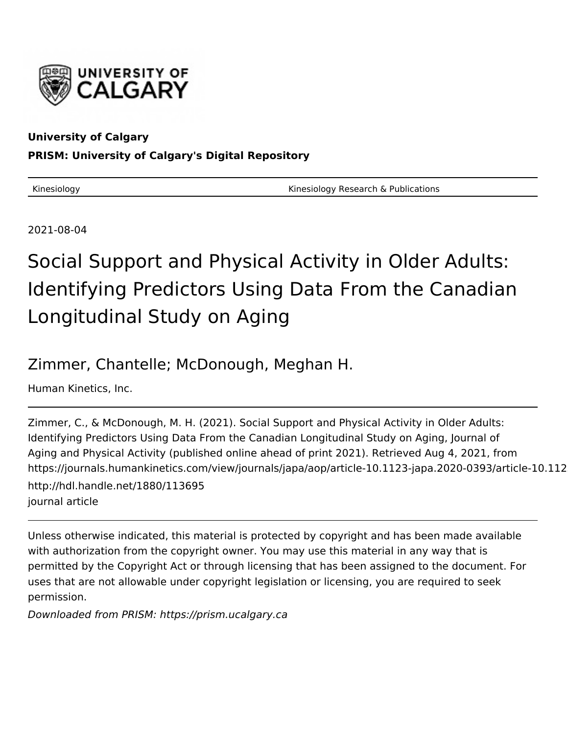

### **University of Calgary PRISM: University of Calgary's Digital Repository**

Kinesiology **Kinesiology Research & Publications** Kinesiology Research & Publications

2021-08-04

# Social Support and Physical Activity in Older Adults: Identifying Predictors Using Data From the Canadian Longitudinal Study on Aging

# Zimmer, Chantelle; McDonough, Meghan H.

Human Kinetics, Inc.

Zimmer, C., & McDonough, M. H. (2021). Social Support and Physical Activity in Older Adults: Identifying Predictors Using Data From the Canadian Longitudinal Study on Aging, Journal of Aging and Physical Activity (published online ahead of print 2021). Retrieved Aug 4, 2021, from https://journals.humankinetics.com/view/journals/japa/aop/article-10.1123-japa.2020-0393/article-10.112 http://hdl.handle.net/1880/113695 journal article

Unless otherwise indicated, this material is protected by copyright and has been made available with authorization from the copyright owner. You may use this material in any way that is permitted by the Copyright Act or through licensing that has been assigned to the document. For uses that are not allowable under copyright legislation or licensing, you are required to seek permission.

Downloaded from PRISM: https://prism.ucalgary.ca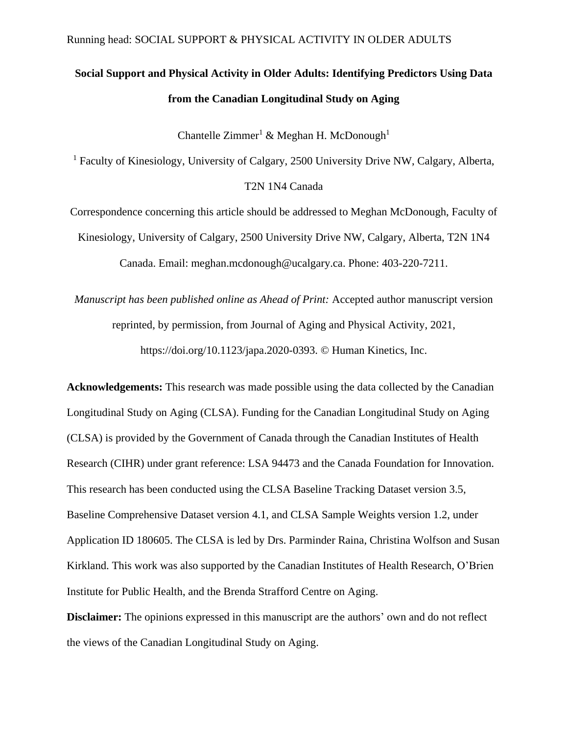## **Social Support and Physical Activity in Older Adults: Identifying Predictors Using Data from the Canadian Longitudinal Study on Aging**

Chantelle Zimmer<sup>1</sup> & Meghan H. McDonough<sup>1</sup>

<sup>1</sup> Faculty of Kinesiology, University of Calgary, 2500 University Drive NW, Calgary, Alberta, T2N 1N4 Canada

Correspondence concerning this article should be addressed to Meghan McDonough, Faculty of Kinesiology, University of Calgary, 2500 University Drive NW, Calgary, Alberta, T2N 1N4 Canada. Email: meghan.mcdonough@ucalgary.ca. Phone: 403-220-7211.

*Manuscript has been published online as Ahead of Print:* Accepted author manuscript version reprinted, by permission, from Journal of Aging and Physical Activity, 2021, https://doi.org/10.1123/japa.2020-0393. © Human Kinetics, Inc.

**Acknowledgements:** This research was made possible using the data collected by the Canadian Longitudinal Study on Aging (CLSA). Funding for the Canadian Longitudinal Study on Aging (CLSA) is provided by the Government of Canada through the Canadian Institutes of Health Research (CIHR) under grant reference: LSA 94473 and the Canada Foundation for Innovation. This research has been conducted using the CLSA Baseline Tracking Dataset version 3.5, Baseline Comprehensive Dataset version 4.1, and CLSA Sample Weights version 1.2, under Application ID 180605. The CLSA is led by Drs. Parminder Raina, Christina Wolfson and Susan Kirkland. This work was also supported by the Canadian Institutes of Health Research, O'Brien Institute for Public Health, and the Brenda Strafford Centre on Aging.

**Disclaimer:** The opinions expressed in this manuscript are the authors' own and do not reflect the views of the Canadian Longitudinal Study on Aging.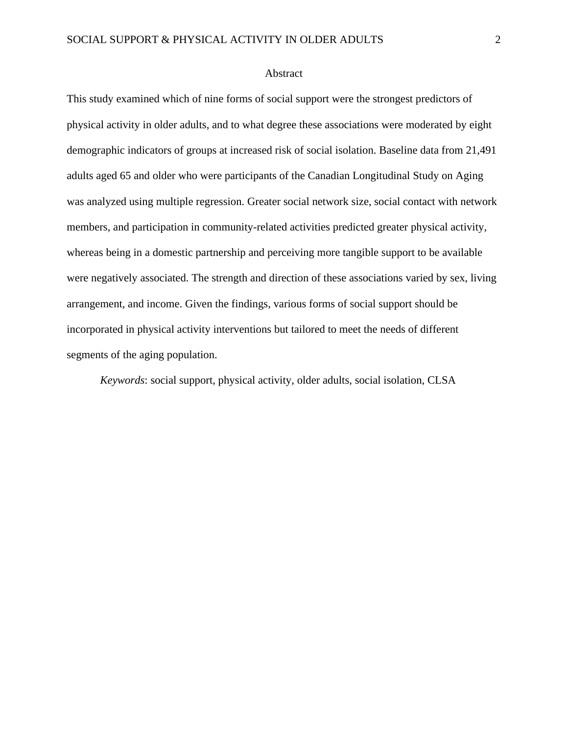#### Abstract

This study examined which of nine forms of social support were the strongest predictors of physical activity in older adults, and to what degree these associations were moderated by eight demographic indicators of groups at increased risk of social isolation. Baseline data from 21,491 adults aged 65 and older who were participants of the Canadian Longitudinal Study on Aging was analyzed using multiple regression. Greater social network size, social contact with network members, and participation in community-related activities predicted greater physical activity, whereas being in a domestic partnership and perceiving more tangible support to be available were negatively associated. The strength and direction of these associations varied by sex, living arrangement, and income. Given the findings, various forms of social support should be incorporated in physical activity interventions but tailored to meet the needs of different segments of the aging population.

*Keywords*: social support, physical activity, older adults, social isolation, CLSA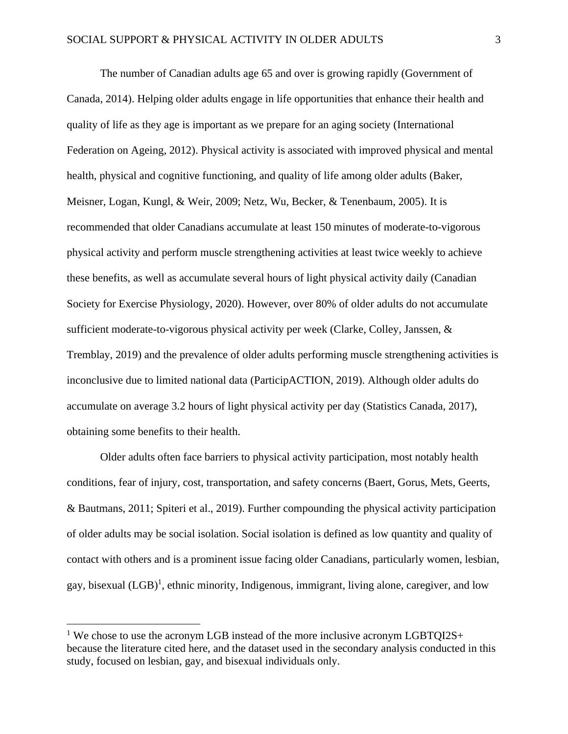The number of Canadian adults age 65 and over is growing rapidly (Government of Canada, 2014). Helping older adults engage in life opportunities that enhance their health and quality of life as they age is important as we prepare for an aging society (International Federation on Ageing, 2012). Physical activity is associated with improved physical and mental health, physical and cognitive functioning, and quality of life among older adults (Baker, Meisner, Logan, Kungl, & Weir, 2009; Netz, Wu, Becker, & Tenenbaum, 2005). It is recommended that older Canadians accumulate at least 150 minutes of moderate-to-vigorous physical activity and perform muscle strengthening activities at least twice weekly to achieve these benefits, as well as accumulate several hours of light physical activity daily (Canadian Society for Exercise Physiology, 2020). However, over 80% of older adults do not accumulate sufficient moderate-to-vigorous physical activity per week (Clarke, Colley, Janssen, & Tremblay, 2019) and the prevalence of older adults performing muscle strengthening activities is inconclusive due to limited national data (ParticipACTION, 2019). Although older adults do accumulate on average 3.2 hours of light physical activity per day (Statistics Canada, 2017), obtaining some benefits to their health.

Older adults often face barriers to physical activity participation, most notably health conditions, fear of injury, cost, transportation, and safety concerns (Baert, Gorus, Mets, Geerts, & Bautmans, 2011; Spiteri et al., 2019). Further compounding the physical activity participation of older adults may be social isolation. Social isolation is defined as low quantity and quality of contact with others and is a prominent issue facing older Canadians, particularly women, lesbian, gay, bisexual (LGB)<sup>1</sup>, ethnic minority, Indigenous, immigrant, living alone, caregiver, and low

<sup>&</sup>lt;sup>1</sup> We chose to use the acronym LGB instead of the more inclusive acronym LGBTQI2S+ because the literature cited here, and the dataset used in the secondary analysis conducted in this study, focused on lesbian, gay, and bisexual individuals only.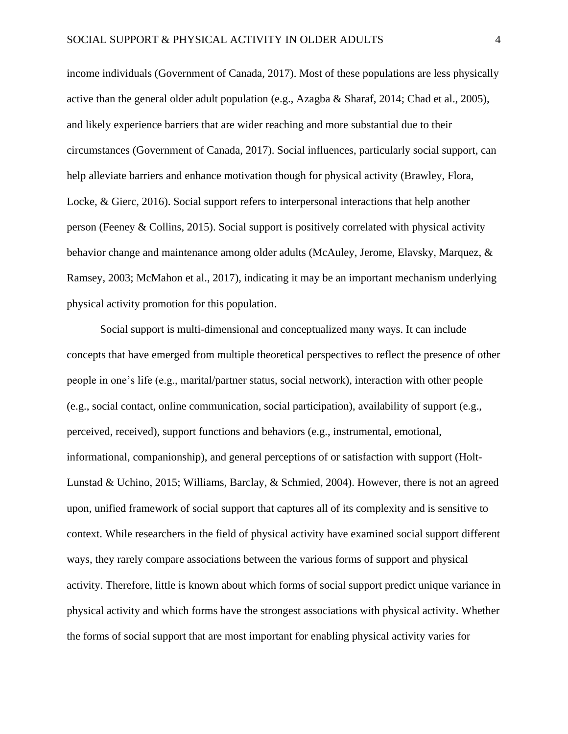income individuals (Government of Canada, 2017). Most of these populations are less physically active than the general older adult population (e.g., Azagba & Sharaf, 2014; Chad et al., 2005), and likely experience barriers that are wider reaching and more substantial due to their circumstances (Government of Canada, 2017). Social influences, particularly social support, can help alleviate barriers and enhance motivation though for physical activity (Brawley, Flora, Locke, & Gierc, 2016). Social support refers to interpersonal interactions that help another person (Feeney & Collins, 2015). Social support is positively correlated with physical activity behavior change and maintenance among older adults (McAuley, Jerome, Elavsky, Marquez, & Ramsey, 2003; McMahon et al., 2017), indicating it may be an important mechanism underlying physical activity promotion for this population.

Social support is multi-dimensional and conceptualized many ways. It can include concepts that have emerged from multiple theoretical perspectives to reflect the presence of other people in one's life (e.g., marital/partner status, social network), interaction with other people (e.g., social contact, online communication, social participation), availability of support (e.g., perceived, received), support functions and behaviors (e.g., instrumental, emotional, informational, companionship), and general perceptions of or satisfaction with support (Holt-Lunstad & Uchino, 2015; Williams, Barclay, & Schmied, 2004). However, there is not an agreed upon, unified framework of social support that captures all of its complexity and is sensitive to context. While researchers in the field of physical activity have examined social support different ways, they rarely compare associations between the various forms of support and physical activity. Therefore, little is known about which forms of social support predict unique variance in physical activity and which forms have the strongest associations with physical activity. Whether the forms of social support that are most important for enabling physical activity varies for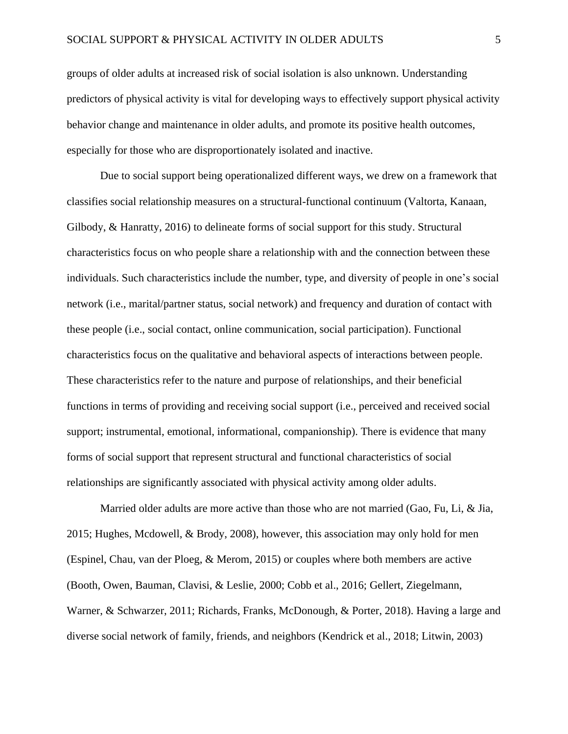groups of older adults at increased risk of social isolation is also unknown. Understanding predictors of physical activity is vital for developing ways to effectively support physical activity behavior change and maintenance in older adults, and promote its positive health outcomes, especially for those who are disproportionately isolated and inactive.

Due to social support being operationalized different ways, we drew on a framework that classifies social relationship measures on a structural-functional continuum (Valtorta, Kanaan, Gilbody, & Hanratty, 2016) to delineate forms of social support for this study. Structural characteristics focus on who people share a relationship with and the connection between these individuals. Such characteristics include the number, type, and diversity of people in one's social network (i.e., marital/partner status, social network) and frequency and duration of contact with these people (i.e., social contact, online communication, social participation). Functional characteristics focus on the qualitative and behavioral aspects of interactions between people. These characteristics refer to the nature and purpose of relationships, and their beneficial functions in terms of providing and receiving social support (i.e., perceived and received social support; instrumental, emotional, informational, companionship). There is evidence that many forms of social support that represent structural and functional characteristics of social relationships are significantly associated with physical activity among older adults.

Married older adults are more active than those who are not married (Gao, Fu, Li, & Jia, 2015; Hughes, Mcdowell, & Brody, 2008), however, this association may only hold for men (Espinel, Chau, van der Ploeg, & Merom, 2015) or couples where both members are active (Booth, Owen, Bauman, Clavisi, & Leslie, 2000; Cobb et al., 2016; Gellert, Ziegelmann, Warner, & Schwarzer, 2011; Richards, Franks, McDonough, & Porter, 2018). Having a large and diverse social network of family, friends, and neighbors (Kendrick et al., 2018; Litwin, 2003)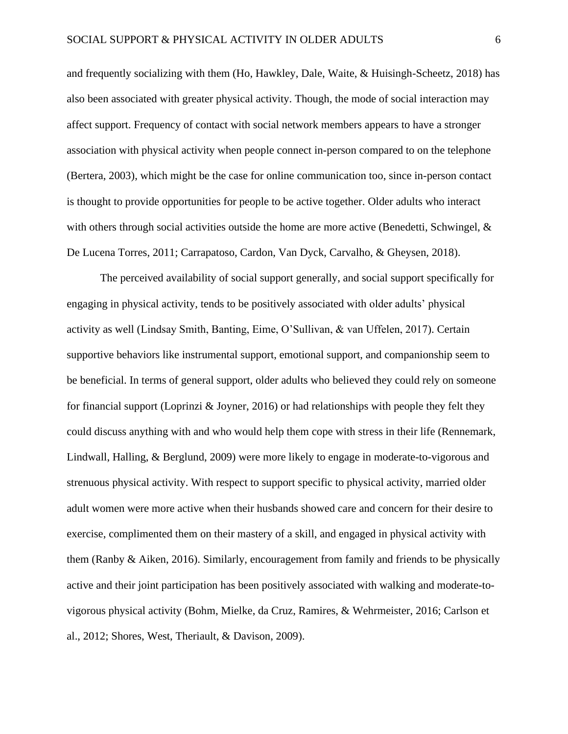and frequently socializing with them (Ho, Hawkley, Dale, Waite, & Huisingh-Scheetz, 2018) has also been associated with greater physical activity. Though, the mode of social interaction may affect support. Frequency of contact with social network members appears to have a stronger association with physical activity when people connect in-person compared to on the telephone (Bertera, 2003), which might be the case for online communication too, since in-person contact is thought to provide opportunities for people to be active together. Older adults who interact with others through social activities outside the home are more active (Benedetti, Schwingel, & De Lucena Torres, 2011; Carrapatoso, Cardon, Van Dyck, Carvalho, & Gheysen, 2018).

The perceived availability of social support generally, and social support specifically for engaging in physical activity, tends to be positively associated with older adults' physical activity as well (Lindsay Smith, Banting, Eime, O'Sullivan, & van Uffelen, 2017). Certain supportive behaviors like instrumental support, emotional support, and companionship seem to be beneficial. In terms of general support, older adults who believed they could rely on someone for financial support (Loprinzi & Joyner, 2016) or had relationships with people they felt they could discuss anything with and who would help them cope with stress in their life (Rennemark, Lindwall, Halling, & Berglund, 2009) were more likely to engage in moderate-to-vigorous and strenuous physical activity. With respect to support specific to physical activity, married older adult women were more active when their husbands showed care and concern for their desire to exercise, complimented them on their mastery of a skill, and engaged in physical activity with them (Ranby & Aiken, 2016). Similarly, encouragement from family and friends to be physically active and their joint participation has been positively associated with walking and moderate-tovigorous physical activity (Bohm, Mielke, da Cruz, Ramires, & Wehrmeister, 2016; Carlson et al., 2012; Shores, West, Theriault, & Davison, 2009).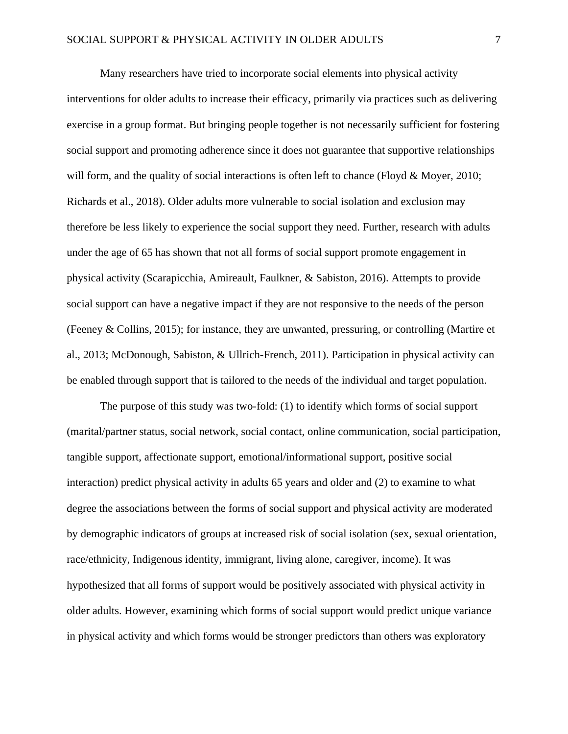Many researchers have tried to incorporate social elements into physical activity interventions for older adults to increase their efficacy, primarily via practices such as delivering exercise in a group format. But bringing people together is not necessarily sufficient for fostering social support and promoting adherence since it does not guarantee that supportive relationships will form, and the quality of social interactions is often left to chance (Floyd & Moyer, 2010; Richards et al., 2018). Older adults more vulnerable to social isolation and exclusion may therefore be less likely to experience the social support they need. Further, research with adults under the age of 65 has shown that not all forms of social support promote engagement in physical activity (Scarapicchia, Amireault, Faulkner, & Sabiston, 2016). Attempts to provide social support can have a negative impact if they are not responsive to the needs of the person (Feeney & Collins, 2015); for instance, they are unwanted, pressuring, or controlling (Martire et al., 2013; McDonough, Sabiston, & Ullrich-French, 2011). Participation in physical activity can be enabled through support that is tailored to the needs of the individual and target population.

The purpose of this study was two-fold: (1) to identify which forms of social support (marital/partner status, social network, social contact, online communication, social participation, tangible support, affectionate support, emotional/informational support, positive social interaction) predict physical activity in adults 65 years and older and (2) to examine to what degree the associations between the forms of social support and physical activity are moderated by demographic indicators of groups at increased risk of social isolation (sex, sexual orientation, race/ethnicity, Indigenous identity, immigrant, living alone, caregiver, income). It was hypothesized that all forms of support would be positively associated with physical activity in older adults. However, examining which forms of social support would predict unique variance in physical activity and which forms would be stronger predictors than others was exploratory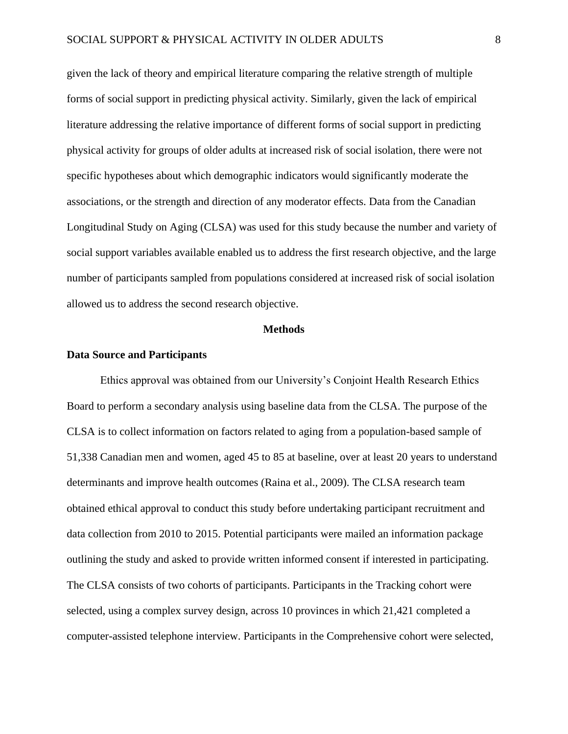given the lack of theory and empirical literature comparing the relative strength of multiple forms of social support in predicting physical activity. Similarly, given the lack of empirical literature addressing the relative importance of different forms of social support in predicting physical activity for groups of older adults at increased risk of social isolation, there were not specific hypotheses about which demographic indicators would significantly moderate the associations, or the strength and direction of any moderator effects. Data from the Canadian Longitudinal Study on Aging (CLSA) was used for this study because the number and variety of social support variables available enabled us to address the first research objective, and the large number of participants sampled from populations considered at increased risk of social isolation allowed us to address the second research objective.

#### **Methods**

#### **Data Source and Participants**

Ethics approval was obtained from our University's Conjoint Health Research Ethics Board to perform a secondary analysis using baseline data from the CLSA. The purpose of the CLSA is to collect information on factors related to aging from a population-based sample of 51,338 Canadian men and women, aged 45 to 85 at baseline, over at least 20 years to understand determinants and improve health outcomes (Raina et al., 2009). The CLSA research team obtained ethical approval to conduct this study before undertaking participant recruitment and data collection from 2010 to 2015. Potential participants were mailed an information package outlining the study and asked to provide written informed consent if interested in participating. The CLSA consists of two cohorts of participants. Participants in the Tracking cohort were selected, using a complex survey design, across 10 provinces in which 21,421 completed a computer-assisted telephone interview. Participants in the Comprehensive cohort were selected,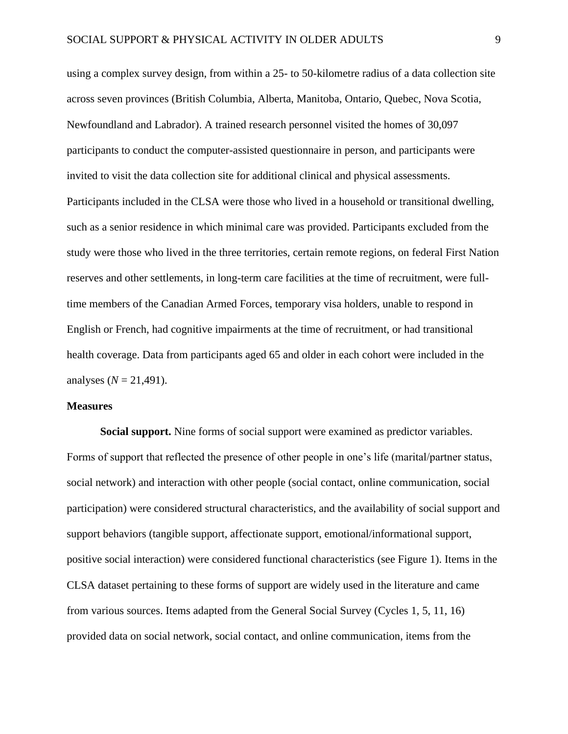using a complex survey design, from within a 25- to 50-kilometre radius of a data collection site across seven provinces (British Columbia, Alberta, Manitoba, Ontario, Quebec, Nova Scotia, Newfoundland and Labrador). A trained research personnel visited the homes of 30,097 participants to conduct the computer-assisted questionnaire in person, and participants were invited to visit the data collection site for additional clinical and physical assessments. Participants included in the CLSA were those who lived in a household or transitional dwelling, such as a senior residence in which minimal care was provided. Participants excluded from the study were those who lived in the three territories, certain remote regions, on federal First Nation reserves and other settlements, in long-term care facilities at the time of recruitment, were fulltime members of the Canadian Armed Forces, temporary visa holders, unable to respond in English or French, had cognitive impairments at the time of recruitment, or had transitional health coverage. Data from participants aged 65 and older in each cohort were included in the analyses  $(N = 21,491)$ .

#### **Measures**

**Social support.** Nine forms of social support were examined as predictor variables. Forms of support that reflected the presence of other people in one's life (marital/partner status, social network) and interaction with other people (social contact, online communication, social participation) were considered structural characteristics, and the availability of social support and support behaviors (tangible support, affectionate support, emotional/informational support, positive social interaction) were considered functional characteristics (see Figure 1). Items in the CLSA dataset pertaining to these forms of support are widely used in the literature and came from various sources. Items adapted from the General Social Survey (Cycles 1, 5, 11, 16) provided data on social network, social contact, and online communication, items from the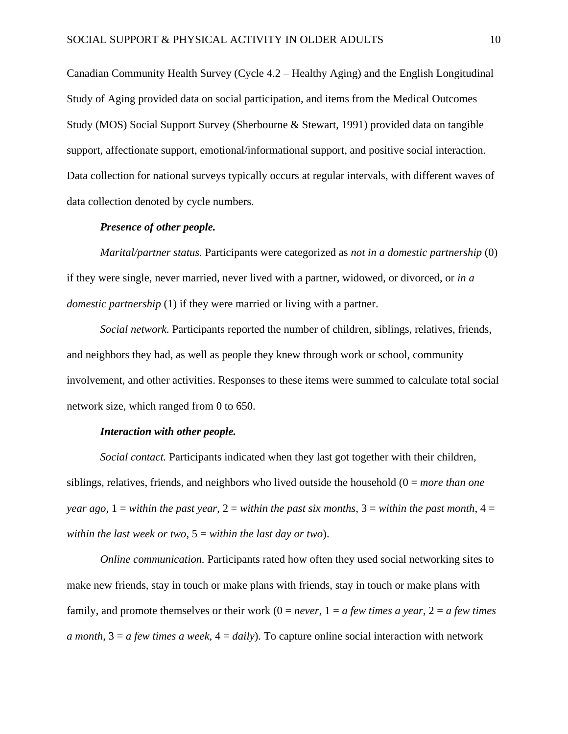Canadian Community Health Survey (Cycle 4.2 – Healthy Aging) and the English Longitudinal Study of Aging provided data on social participation, and items from the Medical Outcomes Study (MOS) Social Support Survey (Sherbourne & Stewart, 1991) provided data on tangible support, affectionate support, emotional/informational support, and positive social interaction. Data collection for national surveys typically occurs at regular intervals, with different waves of data collection denoted by cycle numbers.

#### *Presence of other people.*

*Marital/partner status.* Participants were categorized as *not in a domestic partnership* (0) if they were single, never married, never lived with a partner, widowed, or divorced, or *in a domestic partnership* (1) if they were married or living with a partner.

*Social network.* Participants reported the number of children, siblings, relatives, friends, and neighbors they had, as well as people they knew through work or school, community involvement, and other activities. Responses to these items were summed to calculate total social network size, which ranged from 0 to 650.

#### *Interaction with other people.*

*Social contact.* Participants indicated when they last got together with their children, siblings, relatives, friends, and neighbors who lived outside the household (0 = *more than one year ago*,  $1 =$  *within the past year*,  $2 =$  *within the past six months*,  $3 =$  *within the past month*,  $4 =$ *within the last week or two*, 5 = *within the last day or two*).

*Online communication.* Participants rated how often they used social networking sites to make new friends, stay in touch or make plans with friends, stay in touch or make plans with family, and promote themselves or their work  $(0 = never, 1 = a few times a year, 2 = a few times)$ *a month*, 3 = *a few times a week*, 4 = *daily*). To capture online social interaction with network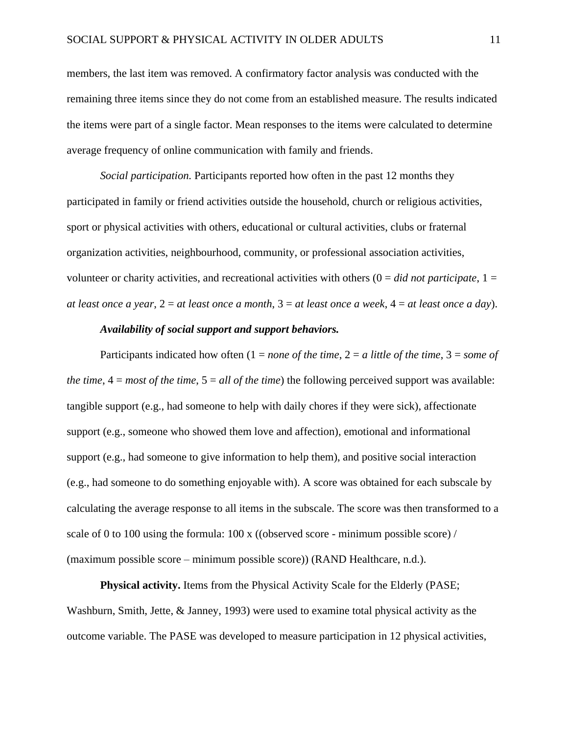members, the last item was removed. A confirmatory factor analysis was conducted with the remaining three items since they do not come from an established measure. The results indicated the items were part of a single factor. Mean responses to the items were calculated to determine average frequency of online communication with family and friends.

*Social participation.* Participants reported how often in the past 12 months they participated in family or friend activities outside the household, church or religious activities, sport or physical activities with others, educational or cultural activities, clubs or fraternal organization activities, neighbourhood, community, or professional association activities, volunteer or charity activities, and recreational activities with others  $(0 = did not participate, 1 =$ *at least once a year*, 2 = *at least once a month*, 3 = *at least once a week*, 4 = *at least once a day*).

#### *Availability of social support and support behaviors.*

Participants indicated how often  $(1 = none$  of the time,  $2 = a$  little of the time,  $3 = some$  of *the time*,  $4 = most of the time, 5 = all of the time)$  the following perceived support was available: tangible support (e.g., had someone to help with daily chores if they were sick), affectionate support (e.g., someone who showed them love and affection), emotional and informational support (e.g., had someone to give information to help them), and positive social interaction (e.g., had someone to do something enjoyable with). A score was obtained for each subscale by calculating the average response to all items in the subscale. The score was then transformed to a scale of 0 to 100 using the formula: 100 x ((observed score - minimum possible score) / (maximum possible score – minimum possible score)) (RAND Healthcare, n.d.).

**Physical activity.** Items from the Physical Activity Scale for the Elderly (PASE; Washburn, Smith, Jette, & Janney, 1993) were used to examine total physical activity as the outcome variable. The PASE was developed to measure participation in 12 physical activities,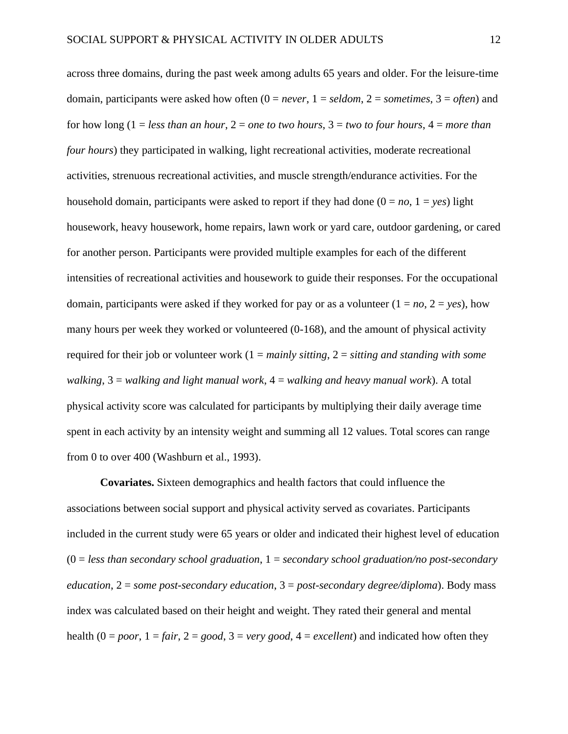across three domains, during the past week among adults 65 years and older. For the leisure-time domain, participants were asked how often  $(0 = never, 1 = seldom, 2 = sometimes, 3 = often)$  and for how long (1 = *less than an hour*, 2 = *one to two hours*, 3 = *two to four hours*, 4 = *more than four hours*) they participated in walking, light recreational activities, moderate recreational activities, strenuous recreational activities, and muscle strength/endurance activities. For the household domain, participants were asked to report if they had done  $(0 = no, 1 = yes)$  light housework, heavy housework, home repairs, lawn work or yard care, outdoor gardening, or cared for another person. Participants were provided multiple examples for each of the different intensities of recreational activities and housework to guide their responses. For the occupational domain, participants were asked if they worked for pay or as a volunteer  $(1 = no, 2 = yes)$ , how many hours per week they worked or volunteered (0-168), and the amount of physical activity required for their job or volunteer work (1 = *mainly sitting*, 2 = *sitting and standing with some walking*, 3 = *walking and light manual work*, 4 = *walking and heavy manual work*). A total physical activity score was calculated for participants by multiplying their daily average time spent in each activity by an intensity weight and summing all 12 values. Total scores can range from 0 to over 400 (Washburn et al., 1993).

**Covariates.** Sixteen demographics and health factors that could influence the associations between social support and physical activity served as covariates. Participants included in the current study were 65 years or older and indicated their highest level of education (0 = *less than secondary school graduation*, 1 = *secondary school graduation/no post-secondary education*, 2 = *some post-secondary education*, 3 = *post-secondary degree/diploma*). Body mass index was calculated based on their height and weight. They rated their general and mental health  $(0 = poor, 1 = fair, 2 = good, 3 = very good, 4 = excellent)$  and indicated how often they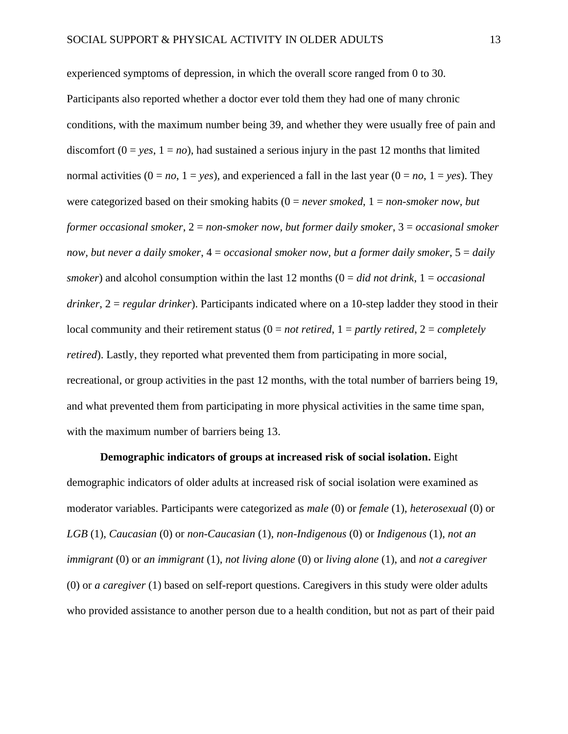experienced symptoms of depression, in which the overall score ranged from 0 to 30. Participants also reported whether a doctor ever told them they had one of many chronic conditions, with the maximum number being 39, and whether they were usually free of pain and discomfort  $(0 = yes, 1 = no)$ , had sustained a serious injury in the past 12 months that limited normal activities  $(0 = no, 1 = yes)$ , and experienced a fall in the last year  $(0 = no, 1 = yes)$ . They were categorized based on their smoking habits (0 = *never smoked*, 1 = *non-smoker now, but former occasional smoker*, 2 = *non-smoker now, but former daily smoker*, 3 = *occasional smoker now, but never a daily smoker*, 4 = *occasional smoker now, but a former daily smoker*, 5 = *daily smoker*) and alcohol consumption within the last 12 months (0 = *did not drink*, 1 = *occasional drinker*, 2 = *regular drinker*). Participants indicated where on a 10-step ladder they stood in their local community and their retirement status (0 = *not retired*, 1 = *partly retired*, 2 = *completely retired*). Lastly, they reported what prevented them from participating in more social, recreational, or group activities in the past 12 months, with the total number of barriers being 19, and what prevented them from participating in more physical activities in the same time span, with the maximum number of barriers being 13.

**Demographic indicators of groups at increased risk of social isolation.** Eight demographic indicators of older adults at increased risk of social isolation were examined as moderator variables. Participants were categorized as *male* (0) or *female* (1), *heterosexual* (0) or *LGB* (1), *Caucasian* (0) or *non-Caucasian* (1), *non-Indigenous* (0) or *Indigenous* (1), *not an immigrant* (0) or *an immigrant* (1), *not living alone* (0) or *living alone* (1), and *not a caregiver* (0) or *a caregiver* (1) based on self-report questions. Caregivers in this study were older adults who provided assistance to another person due to a health condition, but not as part of their paid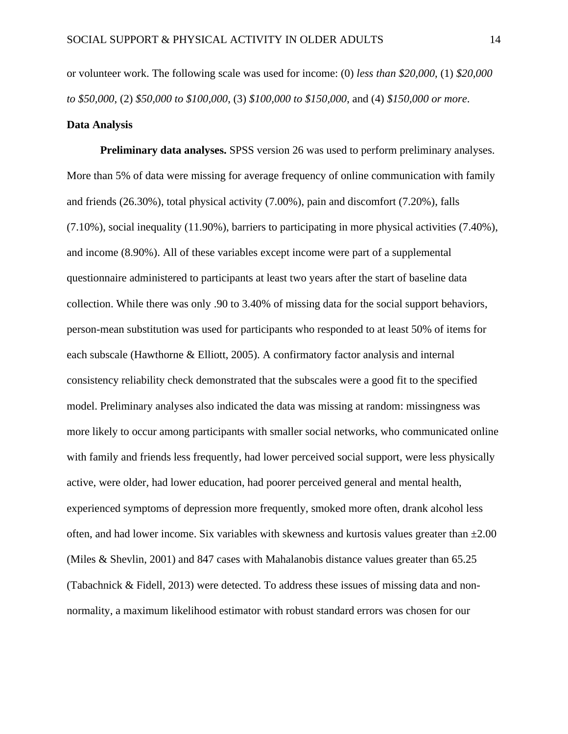or volunteer work. The following scale was used for income: (0) *less than \$20,000*, (1) *\$20,000 to \$50,000*, (2) *\$50,000 to \$100,000*, (3) *\$100,000 to \$150,000*, and (4) *\$150,000 or more*.

#### **Data Analysis**

**Preliminary data analyses.** SPSS version 26 was used to perform preliminary analyses. More than 5% of data were missing for average frequency of online communication with family and friends (26.30%), total physical activity (7.00%), pain and discomfort (7.20%), falls (7.10%), social inequality (11.90%), barriers to participating in more physical activities (7.40%), and income (8.90%). All of these variables except income were part of a supplemental questionnaire administered to participants at least two years after the start of baseline data collection. While there was only .90 to 3.40% of missing data for the social support behaviors, person-mean substitution was used for participants who responded to at least 50% of items for each subscale (Hawthorne & Elliott, 2005). A confirmatory factor analysis and internal consistency reliability check demonstrated that the subscales were a good fit to the specified model. Preliminary analyses also indicated the data was missing at random: missingness was more likely to occur among participants with smaller social networks, who communicated online with family and friends less frequently, had lower perceived social support, were less physically active, were older, had lower education, had poorer perceived general and mental health, experienced symptoms of depression more frequently, smoked more often, drank alcohol less often, and had lower income. Six variables with skewness and kurtosis values greater than  $\pm 2.00$ (Miles & Shevlin, 2001) and 847 cases with Mahalanobis distance values greater than 65.25 (Tabachnick & Fidell, 2013) were detected. To address these issues of missing data and nonnormality, a maximum likelihood estimator with robust standard errors was chosen for our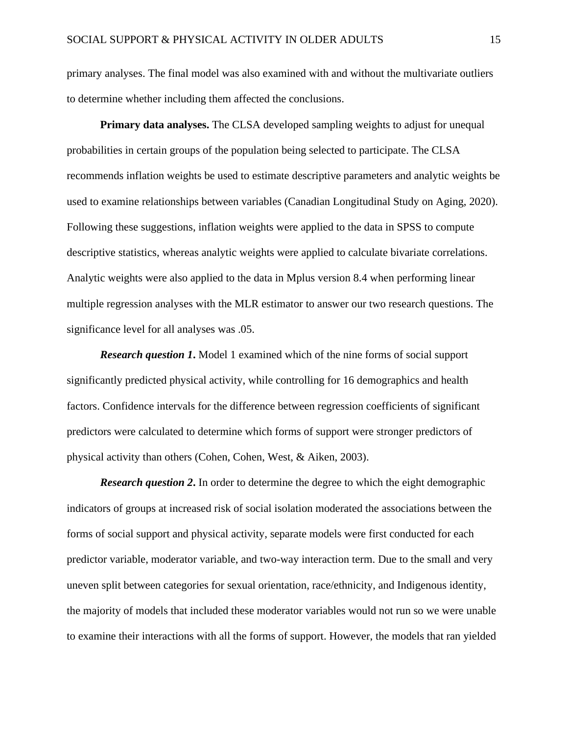primary analyses. The final model was also examined with and without the multivariate outliers to determine whether including them affected the conclusions.

**Primary data analyses.** The CLSA developed sampling weights to adjust for unequal probabilities in certain groups of the population being selected to participate. The CLSA recommends inflation weights be used to estimate descriptive parameters and analytic weights be used to examine relationships between variables (Canadian Longitudinal Study on Aging, 2020). Following these suggestions, inflation weights were applied to the data in SPSS to compute descriptive statistics, whereas analytic weights were applied to calculate bivariate correlations. Analytic weights were also applied to the data in Mplus version 8.4 when performing linear multiple regression analyses with the MLR estimator to answer our two research questions. The significance level for all analyses was .05.

*Research question 1***.** Model 1 examined which of the nine forms of social support significantly predicted physical activity, while controlling for 16 demographics and health factors. Confidence intervals for the difference between regression coefficients of significant predictors were calculated to determine which forms of support were stronger predictors of physical activity than others (Cohen, Cohen, West, & Aiken, 2003).

*Research question 2*. In order to determine the degree to which the eight demographic indicators of groups at increased risk of social isolation moderated the associations between the forms of social support and physical activity, separate models were first conducted for each predictor variable, moderator variable, and two-way interaction term. Due to the small and very uneven split between categories for sexual orientation, race/ethnicity, and Indigenous identity, the majority of models that included these moderator variables would not run so we were unable to examine their interactions with all the forms of support. However, the models that ran yielded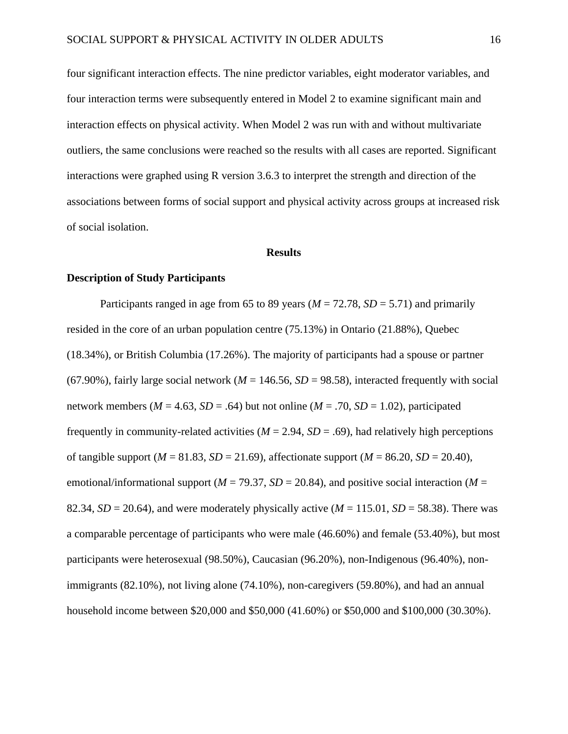four significant interaction effects. The nine predictor variables, eight moderator variables, and four interaction terms were subsequently entered in Model 2 to examine significant main and interaction effects on physical activity. When Model 2 was run with and without multivariate outliers, the same conclusions were reached so the results with all cases are reported. Significant interactions were graphed using R version 3.6.3 to interpret the strength and direction of the associations between forms of social support and physical activity across groups at increased risk of social isolation.

#### **Results**

#### **Description of Study Participants**

Participants ranged in age from 65 to 89 years ( $M = 72.78$ ,  $SD = 5.71$ ) and primarily resided in the core of an urban population centre (75.13%) in Ontario (21.88%), Quebec (18.34%), or British Columbia (17.26%). The majority of participants had a spouse or partner (67.90%), fairly large social network ( $M = 146.56$ ,  $SD = 98.58$ ), interacted frequently with social network members ( $M = 4.63$ ,  $SD = .64$ ) but not online ( $M = .70$ ,  $SD = 1.02$ ), participated frequently in community-related activities ( $M = 2.94$ ,  $SD = .69$ ), had relatively high perceptions of tangible support  $(M = 81.83, SD = 21.69)$ , affectionate support  $(M = 86.20, SD = 20.40)$ , emotional/informational support ( $M = 79.37$ ,  $SD = 20.84$ ), and positive social interaction ( $M =$ 82.34,  $SD = 20.64$ ), and were moderately physically active ( $M = 115.01$ ,  $SD = 58.38$ ). There was a comparable percentage of participants who were male (46.60%) and female (53.40%), but most participants were heterosexual (98.50%), Caucasian (96.20%), non-Indigenous (96.40%), nonimmigrants (82.10%), not living alone (74.10%), non-caregivers (59.80%), and had an annual household income between \$20,000 and \$50,000 (41.60%) or \$50,000 and \$100,000 (30.30%).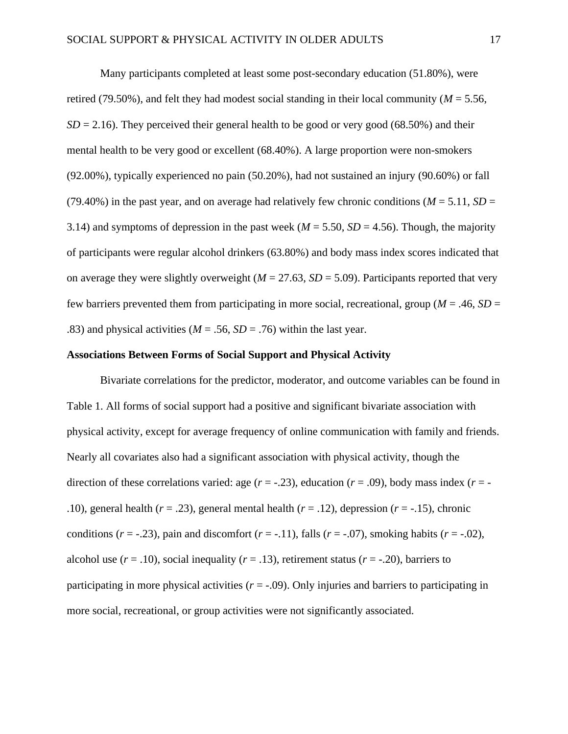Many participants completed at least some post-secondary education (51.80%), were retired (79.50%), and felt they had modest social standing in their local community ( $M = 5.56$ ,  $SD = 2.16$ ). They perceived their general health to be good or very good (68.50%) and their mental health to be very good or excellent (68.40%). A large proportion were non-smokers (92.00%), typically experienced no pain (50.20%), had not sustained an injury (90.60%) or fall (79.40%) in the past year, and on average had relatively few chronic conditions ( $M = 5.11$ ,  $SD =$ 3.14) and symptoms of depression in the past week ( $M = 5.50$ ,  $SD = 4.56$ ). Though, the majority of participants were regular alcohol drinkers (63.80%) and body mass index scores indicated that on average they were slightly overweight ( $M = 27.63$ ,  $SD = 5.09$ ). Participants reported that very few barriers prevented them from participating in more social, recreational, group (*M* = .46, *SD* = .83) and physical activities ( $M = .56$ ,  $SD = .76$ ) within the last year.

#### **Associations Between Forms of Social Support and Physical Activity**

Bivariate correlations for the predictor, moderator, and outcome variables can be found in Table 1. All forms of social support had a positive and significant bivariate association with physical activity, except for average frequency of online communication with family and friends. Nearly all covariates also had a significant association with physical activity, though the direction of these correlations varied: age  $(r = .23)$ , education  $(r = .09)$ , body mass index  $(r = -12)$ .10), general health  $(r = .23)$ , general mental health  $(r = .12)$ , depression  $(r = .15)$ , chronic conditions  $(r = -0.23)$ , pain and discomfort  $(r = -0.11)$ , falls  $(r = -0.07)$ , smoking habits  $(r = -0.02)$ , alcohol use  $(r = .10)$ , social inequality  $(r = .13)$ , retirement status  $(r = .20)$ , barriers to participating in more physical activities  $(r = -0.09)$ . Only injuries and barriers to participating in more social, recreational, or group activities were not significantly associated.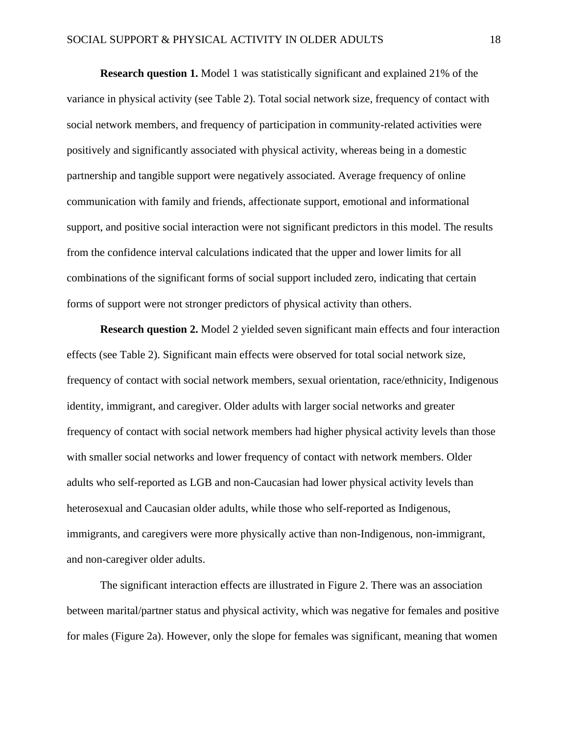**Research question 1.** Model 1 was statistically significant and explained 21% of the variance in physical activity (see Table 2). Total social network size, frequency of contact with social network members, and frequency of participation in community-related activities were positively and significantly associated with physical activity, whereas being in a domestic partnership and tangible support were negatively associated. Average frequency of online communication with family and friends, affectionate support, emotional and informational support, and positive social interaction were not significant predictors in this model. The results from the confidence interval calculations indicated that the upper and lower limits for all combinations of the significant forms of social support included zero, indicating that certain forms of support were not stronger predictors of physical activity than others.

**Research question 2.** Model 2 yielded seven significant main effects and four interaction effects (see Table 2). Significant main effects were observed for total social network size, frequency of contact with social network members, sexual orientation, race/ethnicity, Indigenous identity, immigrant, and caregiver. Older adults with larger social networks and greater frequency of contact with social network members had higher physical activity levels than those with smaller social networks and lower frequency of contact with network members. Older adults who self-reported as LGB and non-Caucasian had lower physical activity levels than heterosexual and Caucasian older adults, while those who self-reported as Indigenous, immigrants, and caregivers were more physically active than non-Indigenous, non-immigrant, and non-caregiver older adults.

The significant interaction effects are illustrated in Figure 2. There was an association between marital/partner status and physical activity, which was negative for females and positive for males (Figure 2a). However, only the slope for females was significant, meaning that women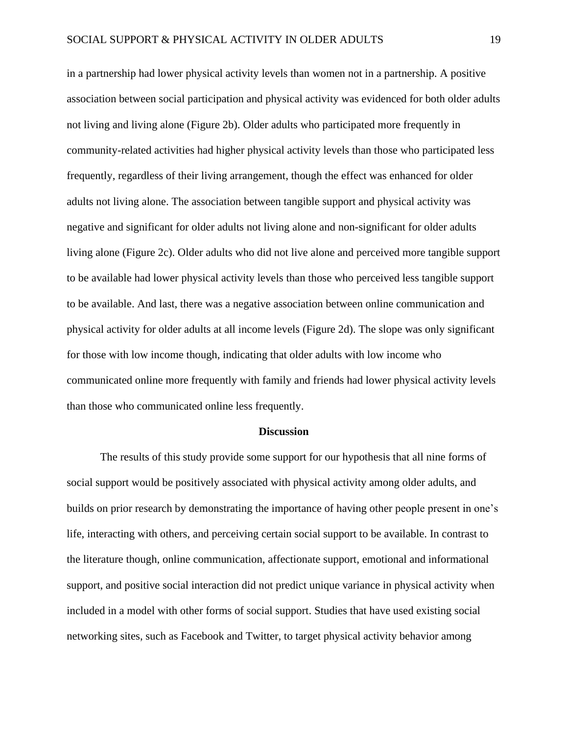in a partnership had lower physical activity levels than women not in a partnership. A positive association between social participation and physical activity was evidenced for both older adults not living and living alone (Figure 2b). Older adults who participated more frequently in community-related activities had higher physical activity levels than those who participated less frequently, regardless of their living arrangement, though the effect was enhanced for older adults not living alone. The association between tangible support and physical activity was negative and significant for older adults not living alone and non-significant for older adults living alone (Figure 2c). Older adults who did not live alone and perceived more tangible support to be available had lower physical activity levels than those who perceived less tangible support to be available. And last, there was a negative association between online communication and physical activity for older adults at all income levels (Figure 2d). The slope was only significant for those with low income though, indicating that older adults with low income who communicated online more frequently with family and friends had lower physical activity levels than those who communicated online less frequently.

#### **Discussion**

The results of this study provide some support for our hypothesis that all nine forms of social support would be positively associated with physical activity among older adults, and builds on prior research by demonstrating the importance of having other people present in one's life, interacting with others, and perceiving certain social support to be available. In contrast to the literature though, online communication, affectionate support, emotional and informational support, and positive social interaction did not predict unique variance in physical activity when included in a model with other forms of social support. Studies that have used existing social networking sites, such as Facebook and Twitter, to target physical activity behavior among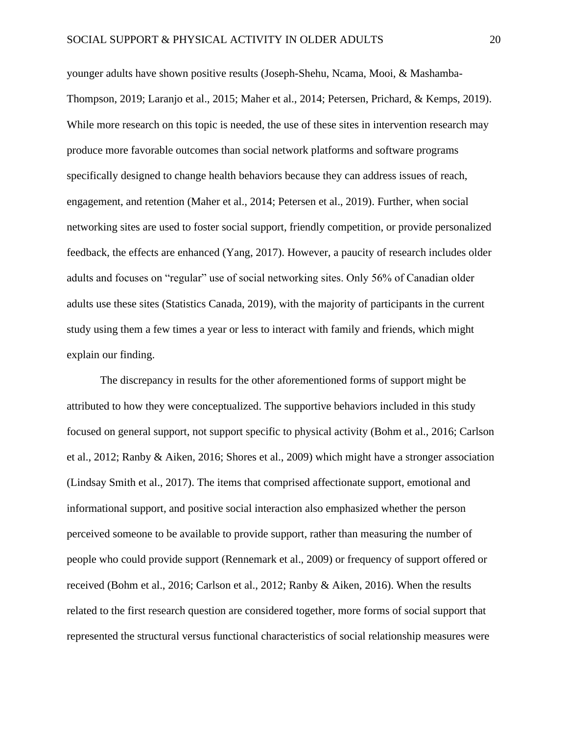younger adults have shown positive results (Joseph-Shehu, Ncama, Mooi, & Mashamba-Thompson, 2019; Laranjo et al., 2015; Maher et al., 2014; Petersen, Prichard, & Kemps, 2019). While more research on this topic is needed, the use of these sites in intervention research may produce more favorable outcomes than social network platforms and software programs specifically designed to change health behaviors because they can address issues of reach, engagement, and retention (Maher et al., 2014; Petersen et al., 2019). Further, when social networking sites are used to foster social support, friendly competition, or provide personalized feedback, the effects are enhanced (Yang, 2017). However, a paucity of research includes older adults and focuses on "regular" use of social networking sites. Only 56% of Canadian older adults use these sites (Statistics Canada, 2019), with the majority of participants in the current study using them a few times a year or less to interact with family and friends, which might explain our finding.

The discrepancy in results for the other aforementioned forms of support might be attributed to how they were conceptualized. The supportive behaviors included in this study focused on general support, not support specific to physical activity (Bohm et al., 2016; Carlson et al., 2012; Ranby & Aiken, 2016; Shores et al., 2009) which might have a stronger association (Lindsay Smith et al., 2017). The items that comprised affectionate support, emotional and informational support, and positive social interaction also emphasized whether the person perceived someone to be available to provide support, rather than measuring the number of people who could provide support (Rennemark et al., 2009) or frequency of support offered or received (Bohm et al., 2016; Carlson et al., 2012; Ranby & Aiken, 2016). When the results related to the first research question are considered together, more forms of social support that represented the structural versus functional characteristics of social relationship measures were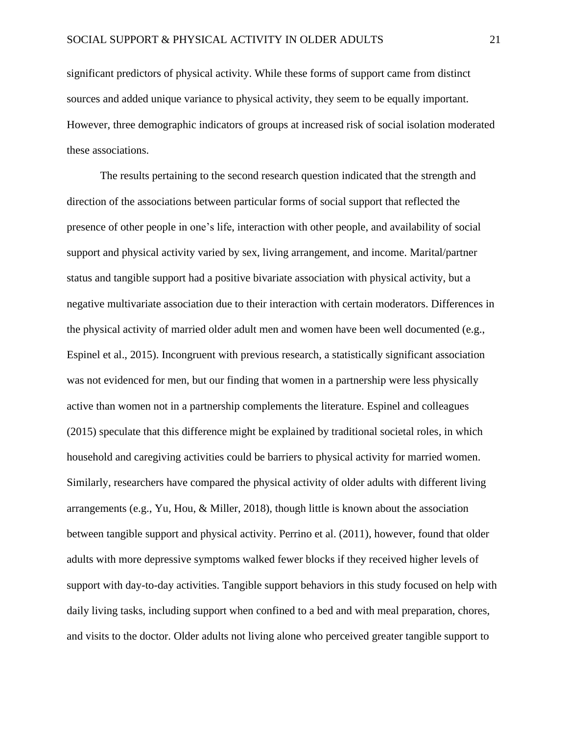significant predictors of physical activity. While these forms of support came from distinct sources and added unique variance to physical activity, they seem to be equally important. However, three demographic indicators of groups at increased risk of social isolation moderated these associations.

The results pertaining to the second research question indicated that the strength and direction of the associations between particular forms of social support that reflected the presence of other people in one's life, interaction with other people, and availability of social support and physical activity varied by sex, living arrangement, and income. Marital/partner status and tangible support had a positive bivariate association with physical activity, but a negative multivariate association due to their interaction with certain moderators. Differences in the physical activity of married older adult men and women have been well documented (e.g., Espinel et al., 2015). Incongruent with previous research, a statistically significant association was not evidenced for men, but our finding that women in a partnership were less physically active than women not in a partnership complements the literature. Espinel and colleagues (2015) speculate that this difference might be explained by traditional societal roles, in which household and caregiving activities could be barriers to physical activity for married women. Similarly, researchers have compared the physical activity of older adults with different living arrangements (e.g., Yu, Hou, & Miller, 2018), though little is known about the association between tangible support and physical activity. Perrino et al. (2011), however, found that older adults with more depressive symptoms walked fewer blocks if they received higher levels of support with day-to-day activities. Tangible support behaviors in this study focused on help with daily living tasks, including support when confined to a bed and with meal preparation, chores, and visits to the doctor. Older adults not living alone who perceived greater tangible support to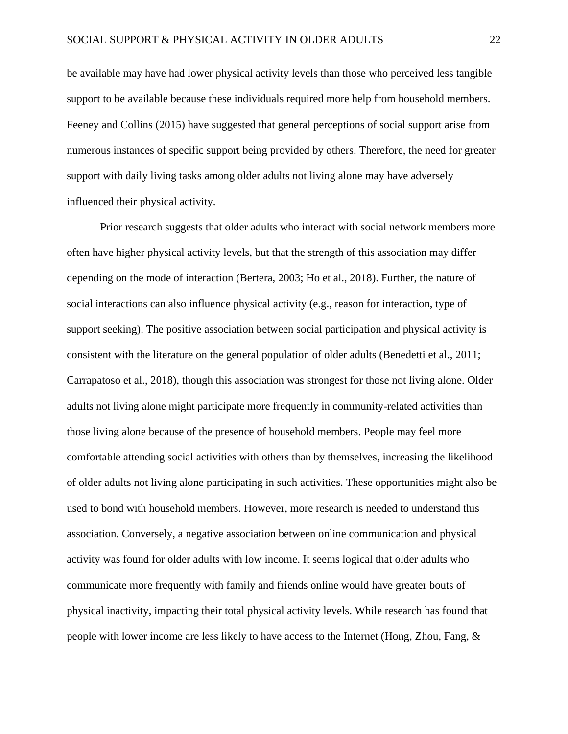be available may have had lower physical activity levels than those who perceived less tangible support to be available because these individuals required more help from household members. Feeney and Collins (2015) have suggested that general perceptions of social support arise from numerous instances of specific support being provided by others. Therefore, the need for greater support with daily living tasks among older adults not living alone may have adversely influenced their physical activity.

Prior research suggests that older adults who interact with social network members more often have higher physical activity levels, but that the strength of this association may differ depending on the mode of interaction (Bertera, 2003; Ho et al., 2018). Further, the nature of social interactions can also influence physical activity (e.g., reason for interaction, type of support seeking). The positive association between social participation and physical activity is consistent with the literature on the general population of older adults (Benedetti et al., 2011; Carrapatoso et al., 2018), though this association was strongest for those not living alone. Older adults not living alone might participate more frequently in community-related activities than those living alone because of the presence of household members. People may feel more comfortable attending social activities with others than by themselves, increasing the likelihood of older adults not living alone participating in such activities. These opportunities might also be used to bond with household members. However, more research is needed to understand this association. Conversely, a negative association between online communication and physical activity was found for older adults with low income. It seems logical that older adults who communicate more frequently with family and friends online would have greater bouts of physical inactivity, impacting their total physical activity levels. While research has found that people with lower income are less likely to have access to the Internet (Hong, Zhou, Fang, &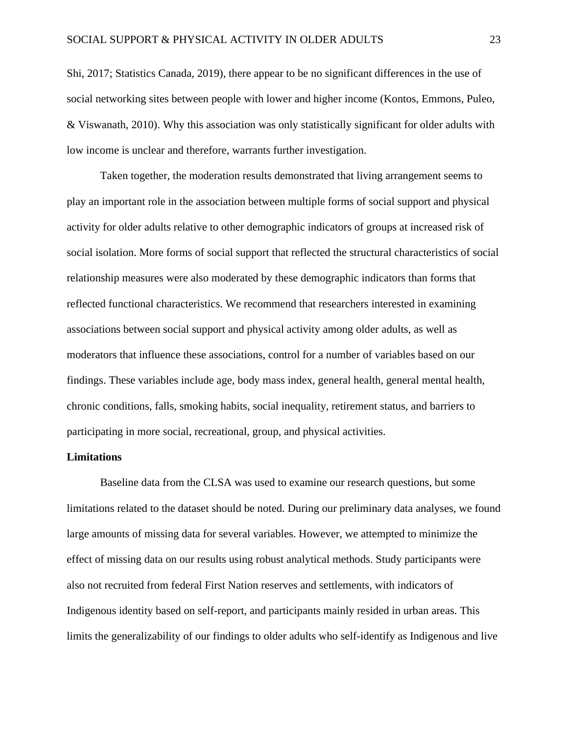Shi, 2017; Statistics Canada, 2019), there appear to be no significant differences in the use of social networking sites between people with lower and higher income (Kontos, Emmons, Puleo, & Viswanath, 2010). Why this association was only statistically significant for older adults with low income is unclear and therefore, warrants further investigation.

Taken together, the moderation results demonstrated that living arrangement seems to play an important role in the association between multiple forms of social support and physical activity for older adults relative to other demographic indicators of groups at increased risk of social isolation. More forms of social support that reflected the structural characteristics of social relationship measures were also moderated by these demographic indicators than forms that reflected functional characteristics. We recommend that researchers interested in examining associations between social support and physical activity among older adults, as well as moderators that influence these associations, control for a number of variables based on our findings. These variables include age, body mass index, general health, general mental health, chronic conditions, falls, smoking habits, social inequality, retirement status, and barriers to participating in more social, recreational, group, and physical activities.

#### **Limitations**

Baseline data from the CLSA was used to examine our research questions, but some limitations related to the dataset should be noted. During our preliminary data analyses, we found large amounts of missing data for several variables. However, we attempted to minimize the effect of missing data on our results using robust analytical methods. Study participants were also not recruited from federal First Nation reserves and settlements, with indicators of Indigenous identity based on self-report, and participants mainly resided in urban areas. This limits the generalizability of our findings to older adults who self-identify as Indigenous and live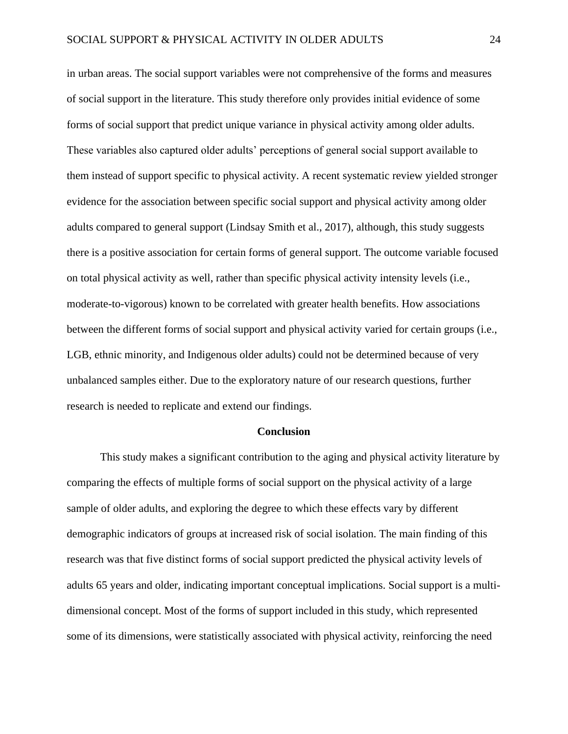in urban areas. The social support variables were not comprehensive of the forms and measures of social support in the literature. This study therefore only provides initial evidence of some forms of social support that predict unique variance in physical activity among older adults. These variables also captured older adults' perceptions of general social support available to them instead of support specific to physical activity. A recent systematic review yielded stronger evidence for the association between specific social support and physical activity among older adults compared to general support (Lindsay Smith et al., 2017), although, this study suggests there is a positive association for certain forms of general support. The outcome variable focused on total physical activity as well, rather than specific physical activity intensity levels (i.e., moderate-to-vigorous) known to be correlated with greater health benefits. How associations between the different forms of social support and physical activity varied for certain groups (i.e., LGB, ethnic minority, and Indigenous older adults) could not be determined because of very unbalanced samples either. Due to the exploratory nature of our research questions, further research is needed to replicate and extend our findings.

#### **Conclusion**

This study makes a significant contribution to the aging and physical activity literature by comparing the effects of multiple forms of social support on the physical activity of a large sample of older adults, and exploring the degree to which these effects vary by different demographic indicators of groups at increased risk of social isolation. The main finding of this research was that five distinct forms of social support predicted the physical activity levels of adults 65 years and older, indicating important conceptual implications. Social support is a multidimensional concept. Most of the forms of support included in this study, which represented some of its dimensions, were statistically associated with physical activity, reinforcing the need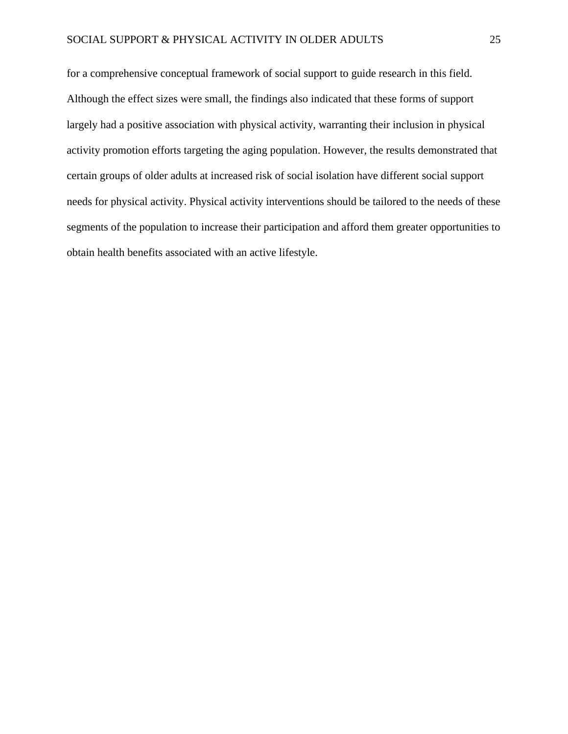for a comprehensive conceptual framework of social support to guide research in this field. Although the effect sizes were small, the findings also indicated that these forms of support largely had a positive association with physical activity, warranting their inclusion in physical activity promotion efforts targeting the aging population. However, the results demonstrated that certain groups of older adults at increased risk of social isolation have different social support needs for physical activity. Physical activity interventions should be tailored to the needs of these segments of the population to increase their participation and afford them greater opportunities to obtain health benefits associated with an active lifestyle.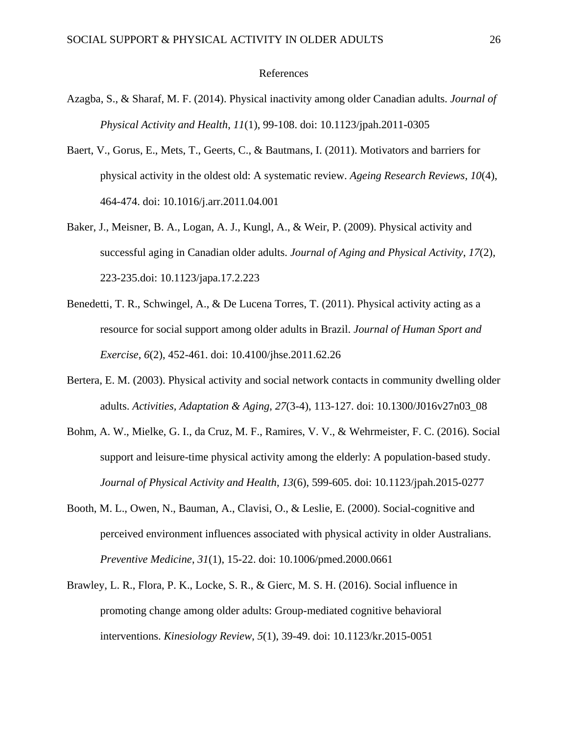#### References

- Azagba, S., & Sharaf, M. F. (2014). Physical inactivity among older Canadian adults. *Journal of Physical Activity and Health*, *11*(1), 99-108. doi: 10.1123/jpah.2011-0305
- Baert, V., Gorus, E., Mets, T., Geerts, C., & Bautmans, I. (2011). Motivators and barriers for physical activity in the oldest old: A systematic review. *Ageing Research Reviews*, *10*(4), 464-474. doi: 10.1016/j.arr.2011.04.001
- Baker, J., Meisner, B. A., Logan, A. J., Kungl, A., & Weir, P. (2009). Physical activity and successful aging in Canadian older adults. *Journal of Aging and Physical Activity*, *17*(2), 223-235.doi: 10.1123/japa.17.2.223
- Benedetti, T. R., Schwingel, A., & De Lucena Torres, T. (2011). Physical activity acting as a resource for social support among older adults in Brazil. *Journal of Human Sport and Exercise*, *6*(2), 452-461. doi: 10.4100/jhse.2011.62.26
- Bertera, E. M. (2003). Physical activity and social network contacts in community dwelling older adults. *Activities, Adaptation & Aging*, *27*(3-4), 113-127. doi: 10.1300/J016v27n03\_08
- Bohm, A. W., Mielke, G. I., da Cruz, M. F., Ramires, V. V., & Wehrmeister, F. C. (2016). Social support and leisure-time physical activity among the elderly: A population-based study. *Journal of Physical Activity and Health*, *13*(6), 599-605. doi: 10.1123/jpah.2015-0277
- Booth, M. L., Owen, N., Bauman, A., Clavisi, O., & Leslie, E. (2000). Social-cognitive and perceived environment influences associated with physical activity in older Australians. *Preventive Medicine*, *31*(1), 15-22. doi: 10.1006/pmed.2000.0661
- Brawley, L. R., Flora, P. K., Locke, S. R., & Gierc, M. S. H. (2016). Social influence in promoting change among older adults: Group-mediated cognitive behavioral interventions. *Kinesiology Review*, *5*(1), 39-49. doi: 10.1123/kr.2015-0051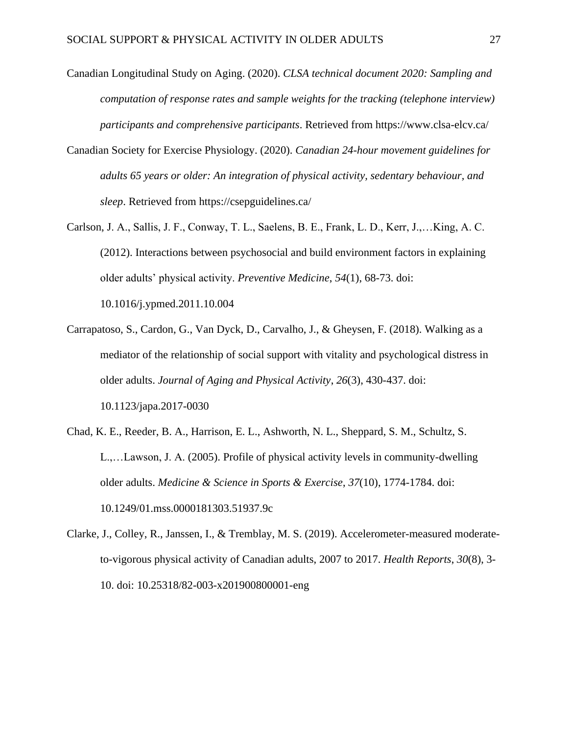- Canadian Longitudinal Study on Aging. (2020). *CLSA technical document 2020: Sampling and computation of response rates and sample weights for the tracking (telephone interview) participants and comprehensive participants*. Retrieved from https://www.clsa-elcv.ca/
- Canadian Society for Exercise Physiology. (2020). *Canadian 24-hour movement guidelines for adults 65 years or older: An integration of physical activity, sedentary behaviour, and sleep*. Retrieved from https://csepguidelines.ca/
- Carlson, J. A., Sallis, J. F., Conway, T. L., Saelens, B. E., Frank, L. D., Kerr, J.,…King, A. C. (2012). Interactions between psychosocial and build environment factors in explaining older adults' physical activity. *Preventive Medicine*, *54*(1), 68-73. doi: 10.1016/j.ypmed.2011.10.004
- Carrapatoso, S., Cardon, G., Van Dyck, D., Carvalho, J., & Gheysen, F. (2018). Walking as a mediator of the relationship of social support with vitality and psychological distress in older adults. *Journal of Aging and Physical Activity*, *26*(3), 430-437. doi: 10.1123/japa.2017-0030
- Chad, K. E., Reeder, B. A., Harrison, E. L., Ashworth, N. L., Sheppard, S. M., Schultz, S. L.,…Lawson, J. A. (2005). Profile of physical activity levels in community-dwelling older adults. *Medicine & Science in Sports & Exercise*, *37*(10), 1774-1784. doi: 10.1249/01.mss.0000181303.51937.9c
- Clarke, J., Colley, R., Janssen, I., & Tremblay, M. S. (2019). Accelerometer-measured moderateto-vigorous physical activity of Canadian adults, 2007 to 2017. *Health Reports*, *30*(8), 3- 10. doi: 10.25318/82-003-x201900800001-eng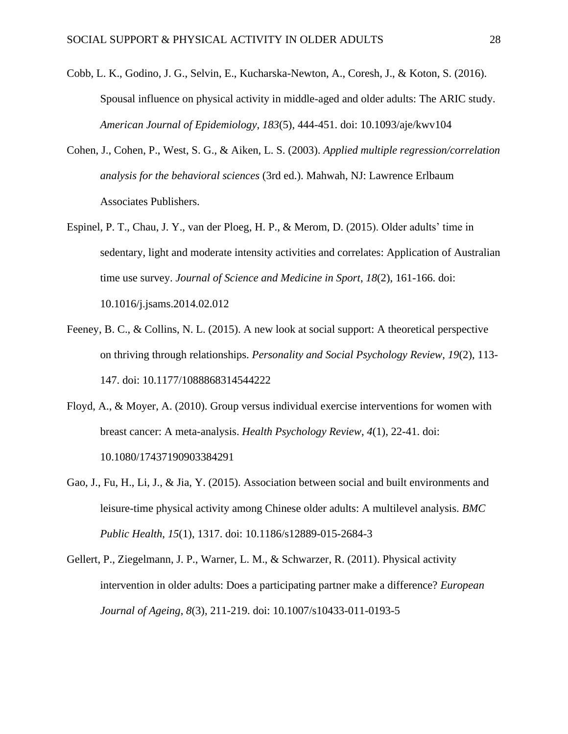- Cobb, L. K., Godino, J. G., Selvin, E., Kucharska-Newton, A., Coresh, J., & Koton, S. (2016). Spousal influence on physical activity in middle-aged and older adults: The ARIC study. *American Journal of Epidemiology*, *183*(5), 444-451. doi: 10.1093/aje/kwv104
- Cohen, J., Cohen, P., West, S. G., & Aiken, L. S. (2003). *Applied multiple regression/correlation analysis for the behavioral sciences* (3rd ed.). Mahwah, NJ: Lawrence Erlbaum Associates Publishers.
- Espinel, P. T., Chau, J. Y., van der Ploeg, H. P., & Merom, D. (2015). Older adults' time in sedentary, light and moderate intensity activities and correlates: Application of Australian time use survey. *Journal of Science and Medicine in Sport*, *18*(2), 161-166. doi: 10.1016/j.jsams.2014.02.012
- Feeney, B. C., & Collins, N. L. (2015). A new look at social support: A theoretical perspective on thriving through relationships. *Personality and Social Psychology Review*, *19*(2), 113- 147. doi: 10.1177/1088868314544222
- Floyd, A., & Moyer, A. (2010). Group versus individual exercise interventions for women with breast cancer: A meta-analysis. *Health Psychology Review*, *4*(1), 22-41. doi: 10.1080/17437190903384291
- Gao, J., Fu, H., Li, J., & Jia, Y. (2015). Association between social and built environments and leisure-time physical activity among Chinese older adults: A multilevel analysis. *BMC Public Health*, *15*(1), 1317. doi: 10.1186/s12889-015-2684-3
- Gellert, P., Ziegelmann, J. P., Warner, L. M., & Schwarzer, R. (2011). Physical activity intervention in older adults: Does a participating partner make a difference? *European Journal of Ageing*, *8*(3), 211-219. doi: 10.1007/s10433-011-0193-5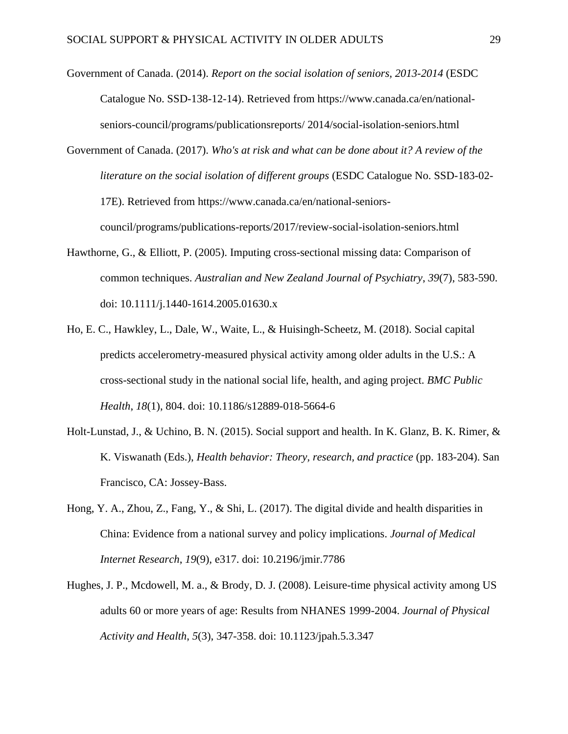Government of Canada. (2014). *Report on the social isolation of seniors, 2013-2014* (ESDC Catalogue No. SSD-138-12-14). Retrieved from https://www.canada.ca/en/nationalseniors-council/programs/publicationsreports/ 2014/social-isolation-seniors.html

Government of Canada. (2017). *Who's at risk and what can be done about it? A review of the literature on the social isolation of different groups* (ESDC Catalogue No. SSD-183-02- 17E). Retrieved from https://www.canada.ca/en/national-seniorscouncil/programs/publications-reports/2017/review-social-isolation-seniors.html

- Hawthorne, G., & Elliott, P. (2005). Imputing cross-sectional missing data: Comparison of common techniques. *Australian and New Zealand Journal of Psychiatry*, *39*(7), 583-590. doi: 10.1111/j.1440-1614.2005.01630.x
- Ho, E. C., Hawkley, L., Dale, W., Waite, L., & Huisingh-Scheetz, M. (2018). Social capital predicts accelerometry-measured physical activity among older adults in the U.S.: A cross-sectional study in the national social life, health, and aging project. *BMC Public Health*, *18*(1), 804. doi: 10.1186/s12889-018-5664-6
- Holt-Lunstad, J., & Uchino, B. N. (2015). Social support and health. In K. Glanz, B. K. Rimer, & K. Viswanath (Eds.), *Health behavior: Theory, research, and practice* (pp. 183-204). San Francisco, CA: Jossey-Bass.
- Hong, Y. A., Zhou, Z., Fang, Y., & Shi, L. (2017). The digital divide and health disparities in China: Evidence from a national survey and policy implications. *Journal of Medical Internet Research*, *19*(9), e317. doi: 10.2196/jmir.7786
- Hughes, J. P., Mcdowell, M. a., & Brody, D. J. (2008). Leisure-time physical activity among US adults 60 or more years of age: Results from NHANES 1999-2004. *Journal of Physical Activity and Health*, *5*(3), 347-358. doi: 10.1123/jpah.5.3.347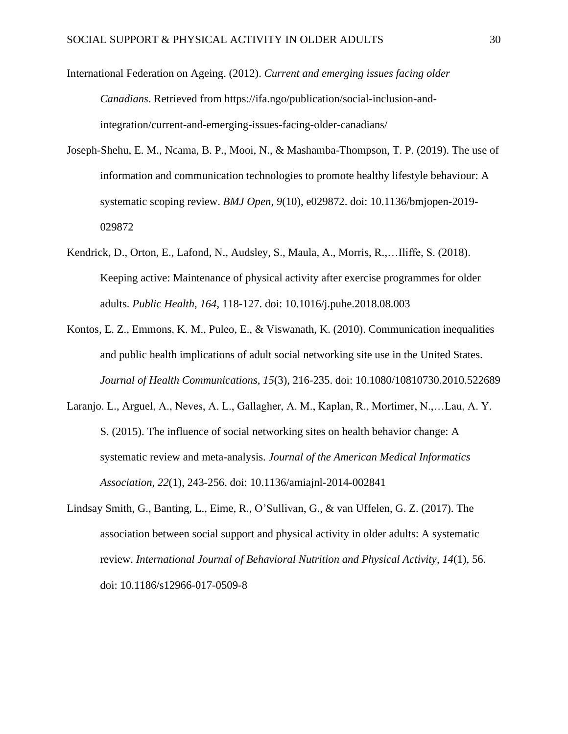International Federation on Ageing. (2012). *Current and emerging issues facing older Canadians*. Retrieved from https://ifa.ngo/publication/social-inclusion-andintegration/current-and-emerging-issues-facing-older-canadians/

- Joseph-Shehu, E. M., Ncama, B. P., Mooi, N., & Mashamba-Thompson, T. P. (2019). The use of information and communication technologies to promote healthy lifestyle behaviour: A systematic scoping review. *BMJ Open*, *9*(10), e029872. doi: 10.1136/bmjopen-2019- 029872
- Kendrick, D., Orton, E., Lafond, N., Audsley, S., Maula, A., Morris, R.,…Iliffe, S. (2018). Keeping active: Maintenance of physical activity after exercise programmes for older adults. *Public Health*, *164*, 118-127. doi: 10.1016/j.puhe.2018.08.003
- Kontos, E. Z., Emmons, K. M., Puleo, E., & Viswanath, K. (2010). Communication inequalities and public health implications of adult social networking site use in the United States. *Journal of Health Communications*, *15*(3), 216-235. doi: 10.1080/10810730.2010.522689
- Laranjo. L., Arguel, A., Neves, A. L., Gallagher, A. M., Kaplan, R., Mortimer, N.,…Lau, A. Y. S. (2015). The influence of social networking sites on health behavior change: A systematic review and meta-analysis. *Journal of the American Medical Informatics Association*, *22*(1), 243-256. doi: 10.1136/amiajnl-2014-002841
- Lindsay Smith, G., Banting, L., Eime, R., O'Sullivan, G., & van Uffelen, G. Z. (2017). The association between social support and physical activity in older adults: A systematic review. *International Journal of Behavioral Nutrition and Physical Activity*, *14*(1), 56. doi: 10.1186/s12966-017-0509-8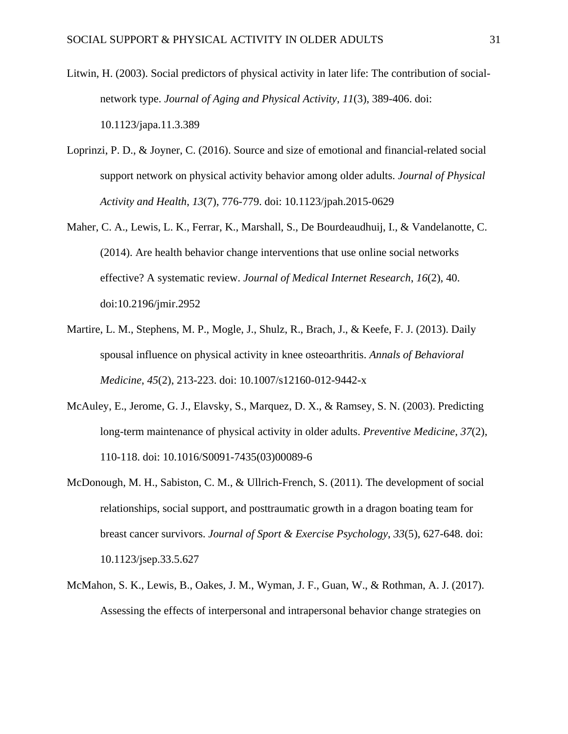- Litwin, H. (2003). Social predictors of physical activity in later life: The contribution of socialnetwork type. *Journal of Aging and Physical Activity*, *11*(3), 389-406. doi: 10.1123/japa.11.3.389
- Loprinzi, P. D., & Joyner, C. (2016). Source and size of emotional and financial-related social support network on physical activity behavior among older adults. *Journal of Physical Activity and Health*, *13*(7), 776-779. doi: 10.1123/jpah.2015-0629
- Maher, C. A., Lewis, L. K., Ferrar, K., Marshall, S., De Bourdeaudhuij, I., & Vandelanotte, C. (2014). Are health behavior change interventions that use online social networks effective? A systematic review. *Journal of Medical Internet Research*, *16*(2), 40. doi:10.2196/jmir.2952
- Martire, L. M., Stephens, M. P., Mogle, J., Shulz, R., Brach, J., & Keefe, F. J. (2013). Daily spousal influence on physical activity in knee osteoarthritis. *Annals of Behavioral Medicine*, *45*(2), 213-223. doi: 10.1007/s12160-012-9442-x
- McAuley, E., Jerome, G. J., Elavsky, S., Marquez, D. X., & Ramsey, S. N. (2003). Predicting long-term maintenance of physical activity in older adults. *Preventive Medicine*, *37*(2), 110-118. doi: 10.1016/S0091-7435(03)00089-6
- McDonough, M. H., Sabiston, C. M., & Ullrich-French, S. (2011). The development of social relationships, social support, and posttraumatic growth in a dragon boating team for breast cancer survivors. *Journal of Sport & Exercise Psychology*, *33*(5), 627-648. doi: 10.1123/jsep.33.5.627
- McMahon, S. K., Lewis, B., Oakes, J. M., Wyman, J. F., Guan, W., & Rothman, A. J. (2017). Assessing the effects of interpersonal and intrapersonal behavior change strategies on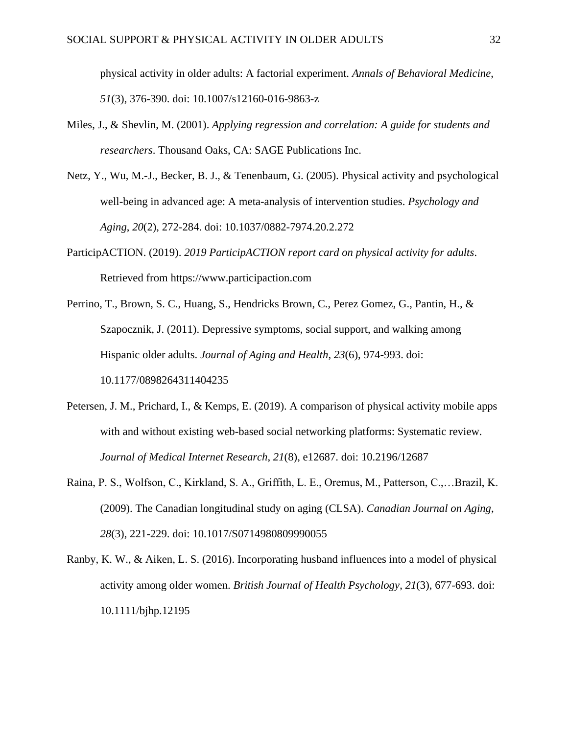physical activity in older adults: A factorial experiment. *Annals of Behavioral Medicine*, *51*(3), 376-390. doi: 10.1007/s12160-016-9863-z

- Miles, J., & Shevlin, M. (2001). *Applying regression and correlation: A guide for students and researchers*. Thousand Oaks, CA: SAGE Publications Inc.
- Netz, Y., Wu, M.-J., Becker, B. J., & Tenenbaum, G. (2005). Physical activity and psychological well-being in advanced age: A meta-analysis of intervention studies. *Psychology and Aging*, *20*(2), 272-284. doi: 10.1037/0882-7974.20.2.272
- ParticipACTION. (2019). *2019 ParticipACTION report card on physical activity for adults*. Retrieved from https://www.participaction.com
- Perrino, T., Brown, S. C., Huang, S., Hendricks Brown, C., Perez Gomez, G., Pantin, H., & Szapocznik, J. (2011). Depressive symptoms, social support, and walking among Hispanic older adults. *Journal of Aging and Health*, *23*(6), 974-993. doi: 10.1177/0898264311404235
- Petersen, J. M., Prichard, I., & Kemps, E. (2019). A comparison of physical activity mobile apps with and without existing web-based social networking platforms: Systematic review. *Journal of Medical Internet Research*, *21*(8), e12687. doi: 10.2196/12687
- Raina, P. S., Wolfson, C., Kirkland, S. A., Griffith, L. E., Oremus, M., Patterson, C.,…Brazil, K. (2009). The Canadian longitudinal study on aging (CLSA). *Canadian Journal on Aging*, *28*(3), 221-229. doi: 10.1017/S0714980809990055
- Ranby, K. W., & Aiken, L. S. (2016). Incorporating husband influences into a model of physical activity among older women. *British Journal of Health Psychology*, *21*(3), 677-693. doi: 10.1111/bjhp.12195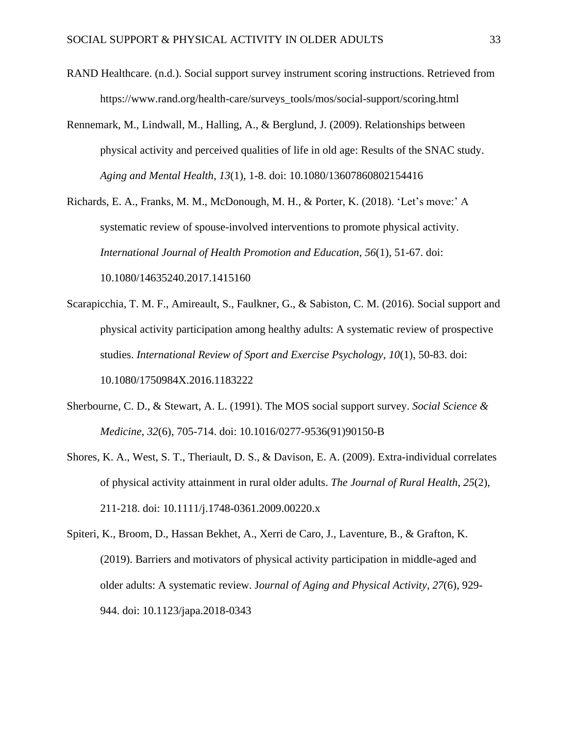- RAND Healthcare. (n.d.). Social support survey instrument scoring instructions. Retrieved from https://www.rand.org/health-care/surveys\_tools/mos/social-support/scoring.html
- Rennemark, M., Lindwall, M., Halling, A., & Berglund, J. (2009). Relationships between physical activity and perceived qualities of life in old age: Results of the SNAC study. *Aging and Mental Health*, *13*(1), 1-8. doi: 10.1080/13607860802154416

Richards, E. A., Franks, M. M., McDonough, M. H., & Porter, K. (2018). 'Let's move:' A systematic review of spouse-involved interventions to promote physical activity. *International Journal of Health Promotion and Education*, *56*(1), 51-67. doi: 10.1080/14635240.2017.1415160

- Scarapicchia, T. M. F., Amireault, S., Faulkner, G., & Sabiston, C. M. (2016). Social support and physical activity participation among healthy adults: A systematic review of prospective studies. *International Review of Sport and Exercise Psychology*, *10*(1), 50-83. doi: 10.1080/1750984X.2016.1183222
- Sherbourne, C. D., & Stewart, A. L. (1991). The MOS social support survey. *Social Science & Medicine*, *32*(6), 705-714. doi: 10.1016/0277-9536(91)90150-B
- Shores, K. A., West, S. T., Theriault, D. S., & Davison, E. A. (2009). Extra-individual correlates of physical activity attainment in rural older adults. *The Journal of Rural Health*, *25*(2), 211-218. doi: 10.1111/j.1748-0361.2009.00220.x
- Spiteri, K., Broom, D., Hassan Bekhet, A., Xerri de Caro, J., Laventure, B., & Grafton, K. (2019). Barriers and motivators of physical activity participation in middle-aged and older adults: A systematic review. J*ournal of Aging and Physical Activity*, *27*(6), 929- 944. doi: 10.1123/japa.2018-0343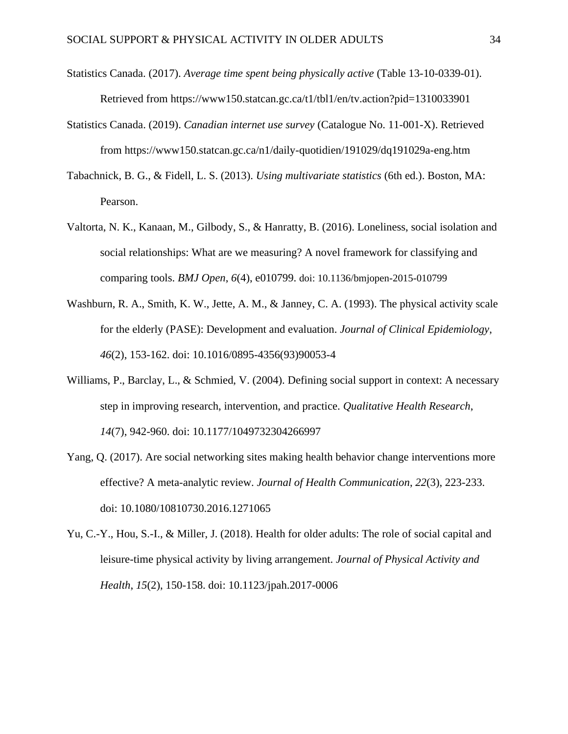- Statistics Canada. (2017). *Average time spent being physically active* (Table 13-10-0339-01). Retrieved from https://www150.statcan.gc.ca/t1/tbl1/en/tv.action?pid=1310033901
- Statistics Canada. (2019). *Canadian internet use survey* (Catalogue No. 11-001-X). Retrieved from https://www150.statcan.gc.ca/n1/daily-quotidien/191029/dq191029a-eng.htm
- Tabachnick, B. G., & Fidell, L. S. (2013). *Using multivariate statistics* (6th ed.). Boston, MA: Pearson.
- Valtorta, N. K., Kanaan, M., Gilbody, S., & Hanratty, B. (2016). Loneliness, social isolation and social relationships: What are we measuring? A novel framework for classifying and comparing tools. *BMJ Open*, *6*(4), e010799. doi: 10.1136/bmjopen-2015-010799
- Washburn, R. A., Smith, K. W., Jette, A. M., & Janney, C. A. (1993). The physical activity scale for the elderly (PASE): Development and evaluation. *Journal of Clinical Epidemiology*, *46*(2), 153-162. doi: 10.1016/0895-4356(93)90053-4
- Williams, P., Barclay, L., & Schmied, V. (2004). Defining social support in context: A necessary step in improving research, intervention, and practice. *Qualitative Health Research*, *14*(7), 942-960. doi: 10.1177/1049732304266997
- Yang, Q. (2017). Are social networking sites making health behavior change interventions more effective? A meta-analytic review. *Journal of Health Communication*, *22*(3), 223-233. doi: 10.1080/10810730.2016.1271065
- Yu, C.-Y., Hou, S.-I., & Miller, J. (2018). Health for older adults: The role of social capital and leisure-time physical activity by living arrangement. *Journal of Physical Activity and Health*, *15*(2), 150-158. doi: 10.1123/jpah.2017-0006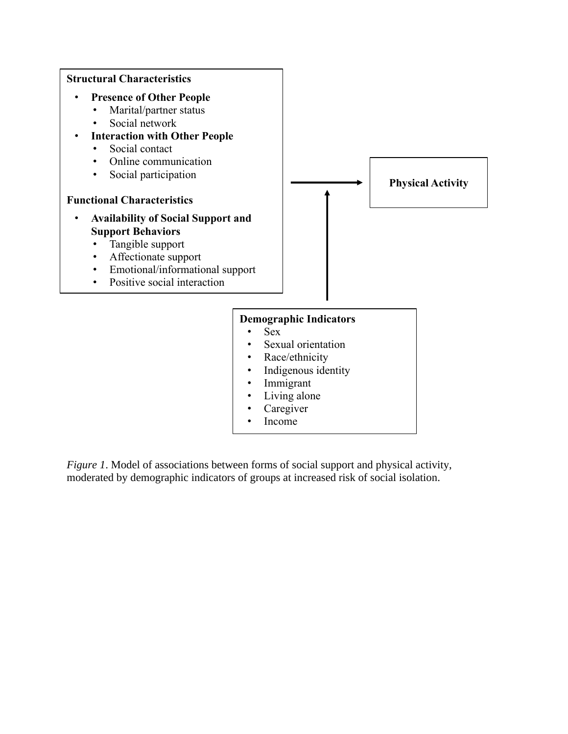

*Figure 1*. Model of associations between forms of social support and physical activity, moderated by demographic indicators of groups at increased risk of social isolation.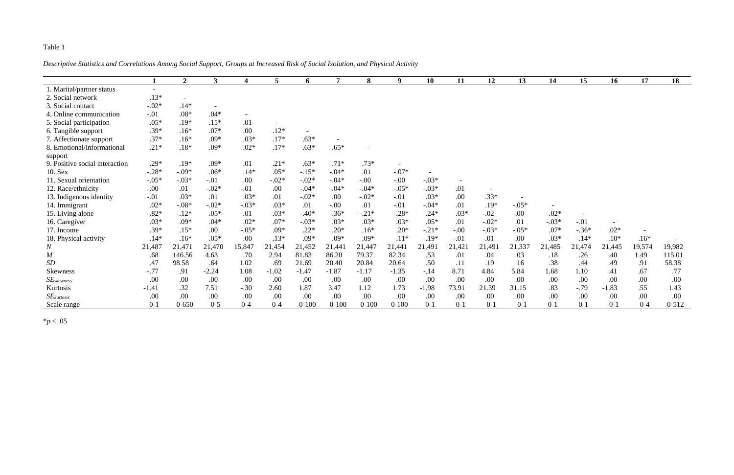### Table 1

*Descriptive Statistics and Correlations Among Social Support, Groups at Increased Risk of Social Isolation, and Physical Activity*

|                                |                          | $\overline{2}$           | $\mathbf{3}$             | 4       | 5 <sup>5</sup> | 6         | 7         | 8         | 9         | 10      | 11     | 12      | 13      | 14      | 15      | 16      | 17      | 18        |
|--------------------------------|--------------------------|--------------------------|--------------------------|---------|----------------|-----------|-----------|-----------|-----------|---------|--------|---------|---------|---------|---------|---------|---------|-----------|
| 1. Marital/partner status      | $\overline{\phantom{a}}$ |                          |                          |         |                |           |           |           |           |         |        |         |         |         |         |         |         |           |
| 2. Social network              | $.13*$                   | $\overline{\phantom{a}}$ |                          |         |                |           |           |           |           |         |        |         |         |         |         |         |         |           |
| 3. Social contact              | $-.02*$                  | $.14*$                   | $\overline{\phantom{a}}$ |         |                |           |           |           |           |         |        |         |         |         |         |         |         |           |
| 4. Online communication        | $-.01$                   | $.08*$                   | $.04*$                   |         |                |           |           |           |           |         |        |         |         |         |         |         |         |           |
| 5. Social participation        | $.05*$                   | $.19*$                   | $.15*$                   | .01     |                |           |           |           |           |         |        |         |         |         |         |         |         |           |
| 6. Tangible support            | $.39*$                   | $.16*$                   | $.07*$                   | .00     | $.12*$         | $\sim$    |           |           |           |         |        |         |         |         |         |         |         |           |
| 7. Affectionate support        | $.37*$                   | $.16*$                   | $.09*$                   | $.03*$  | $.17*$         | $.63*$    |           |           |           |         |        |         |         |         |         |         |         |           |
| 8. Emotional/informational     | $.21*$                   | $.18*$                   | $.09*$                   | $.02*$  | $.17*$         | $.63*$    | $.65*$    |           |           |         |        |         |         |         |         |         |         |           |
| support                        |                          |                          |                          |         |                |           |           |           |           |         |        |         |         |         |         |         |         |           |
| 9. Positive social interaction | $.29*$                   | $.19*$                   | $.09*$                   | .01     | $.21*$         | $.63*$    | $.71*$    | $.73*$    |           |         |        |         |         |         |         |         |         |           |
| 10. Sex                        | $-.28*$                  | $-.09*$                  | $.06*$                   | $.14*$  | $.05*$         | $-15*$    | $-.04*$   | .01       | $-.07*$   |         |        |         |         |         |         |         |         |           |
| 11. Sexual orientation         | $-.05*$                  | $-.03*$                  | $-.01$                   | .00     | $-.02*$        | $-.02*$   | $-0.04*$  | $-.00$    | $-.00$    | $-.03*$ |        |         |         |         |         |         |         |           |
| 12. Race/ethnicity             | $-.00$                   | .01                      | $-.02*$                  | $-.01$  | .00            | $-.04*$   | $-0.04*$  | $-.04*$   | $-.05*$   | $-.03*$ | .01    |         |         |         |         |         |         |           |
| 13. Indigenous identity        | $-.01$                   | $.03*$                   | .01                      | $.03*$  | .01            | $-.02*$   | .00       | $-.02*$   | $-.01$    | $.03*$  | .00    | $.33*$  |         |         |         |         |         |           |
| 14. Immigrant                  | $.02*$                   | $-.08*$                  | $-.02*$                  | $-.03*$ | $.03*$         | .01       | $-.00$    | .01       | $-.01$    | $-.04*$ | .01    | $.19*$  | $-.05*$ |         |         |         |         |           |
| 15. Living alone               | $-.82*$                  | $-.12*$                  | $.05*$                   | .01     | $-.03*$        | $-.40*$   | $-.36*$   | $-.21*$   | $-.28*$   | $.24*$  | $.03*$ | $-.02$  | .00     | $-.02*$ |         |         |         |           |
| 16. Caregiver                  | $.03*$                   | $.09*$                   | $.04*$                   | $.02*$  | $.07*$         | $-.03*$   | $.03*$    | $.03*$    | $.03*$    | $.05*$  | .01    | $-.02*$ | .01     | $-.03*$ | $-.01$  |         |         |           |
| 17. Income                     | .39*                     | $.15*$                   | .00                      | $-.05*$ | $.09*$         | $.22*$    | $.20*$    | $.16*$    | $.20*$    | $-.21*$ | $-.00$ | $-.03*$ | $-.05*$ | $.07*$  | $-.36*$ | $.02*$  |         |           |
| 18. Physical activity          | $.14*$                   | $.16*$                   | $.05*$                   | .00     | $.13*$         | $.09*$    | $.09*$    | $.09*$    | $.11*$    | $-.19*$ | $-.01$ | $-.01$  | .00     | $.03*$  | $-.14*$ | $.10*$  | $.16*$  |           |
| $\boldsymbol{N}$               | 21,487                   | 21,471                   | 21,470                   | 15,847  | 21,454         | 21,452    | 21,441    | 21,447    | 21,441    | 21,491  | 21,421 | 21,491  | 21,337  | 21,485  | 21,474  | 21,445  | 19,574  | 19,982    |
| $\overline{M}$                 | .68                      | 146.56                   | 4.63                     | .70     | 2.94           | 81.83     | 86.20     | 79.37     | 82.34     | .53     | .01    | .04     | .03     | .18     | .26     | .40     | 1.49    | 115.01    |
| SD                             | .47                      | 98.58                    | .64                      | 1.02    | .69            | 21.69     | 20.40     | 20.84     | 20.64     | .50     | .11    | .19     | .16     | .38     | .44     | .49     | .91     | 58.38     |
| Skewness                       | $-.77$                   | .91                      | $-2.24$                  | 1.08    | $-1.02$        | $-1.47$   | $-1.87$   | $-1.17$   | $-1.35$   | $-.14$  | 8.71   | 4.84    | 5.84    | 1.68    | 1.10    | .41     | .67     | .77       |
| $SE$ skewness                  | .00                      | .00                      | .00                      | .00     | .00            | .00       | .00       | .00       | .00       | .00     | .00    | .00     | .00     | .00     | .00     | .00     | .00     | .00       |
| Kurtosis                       | $-1.41$                  | .32                      | 7.51                     | $-.30$  | 2.60           | 1.87      | 3.47      | 1.12      | 1.73      | $-1.98$ | 73.91  | 21.39   | 31.15   | .83     | $-.79$  | $-1.83$ | .55     | 1.43      |
| $SE_{kurtosis}$                | .00                      | .00                      | .00.                     | .00     | .00            | .00       | .00       | .00       | .00       | .00     | .00    | .00     | .00     | .00     | .00     | .00     | .00     | .00       |
| Scale range                    | $0 - 1$                  | $0 - 650$                | $0 - 5$                  | $0 - 4$ | $0 - 4$        | $0 - 100$ | $0 - 100$ | $0 - 100$ | $0 - 100$ | $0-1$   | $0-1$  | $0-1$   | $0-1$   | $0 - 1$ | $0 - 1$ | $0-1$   | $0 - 4$ | $0 - 512$ |

\**p* < .05

| $\sim$<br>$\sim$<br>____ |
|--------------------------|
|--------------------------|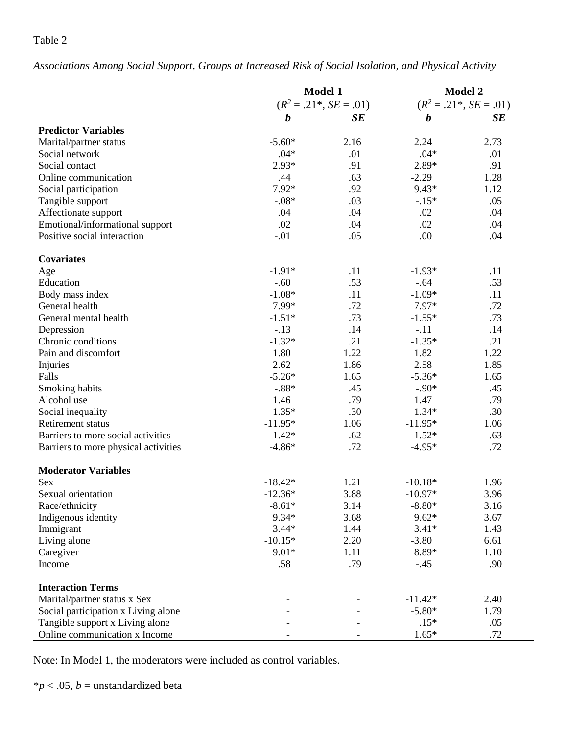#### Table 2

**Model 1 Model 2**  $(R^2 = .21^*, SE = .01)$  (*R*  $(R^2 = .21^*, SE = .01)$ *b SE b SE* **Predictor Variables** Marital/partner status  $-5.60*$  2.16 2.24 2.73 Social network .01 .04\* .01 .04\* .01 Social contact  $2.93*$   $91$   $2.89*$   $91$ Online communication .44 .63 -2.29 1.28 Social participation  $7.92^*$   $9.43^*$   $1.12$ Tangible support  $-0.08*$  .03  $-0.15*$  .05 Affectionate support .04 .04 .02 .04 Emotional/informational support .02 .04 .02 .04 .02 .04 Positive social interaction  $.01$  .05 .00 .04 **Covariates** Age  $-1.91*$   $-1.93*$  .11  $-1.93*$  .11 Education -.60 .53 -.64 .53 Body mass index  $-1.08*$   $-1.1$   $-1.09*$   $-1.1$ General health  $7.99*$   $7.97*$   $7.72$   $7.97*$   $7.72$ General mental health  $-1.51*$   $73$   $-1.55*$   $73$ Depression .13 .14 -.11 .14 Chronic conditions  $-1.32^*$  .21  $-1.35^*$  .21 Pain and discomfort 1.80 1.22 1.82 1.22 Injuries 2.62 1.86 2.58 1.85 Falls  $-5.26^*$   $1.65$   $-5.36^*$   $1.65$ Smoking habits  $-0.88*$  .45  $-0.90*$  .45 Alcohol use 1.46 .79 .79 .79 Social inequality 1.35\*  $1.35*$  .30  $1.34*$  .30 Retirement status 1.06 -11.95<sup>\*</sup> 1.06 -11.95<sup>\*</sup> 1.06 Barriers to more social activities  $1.42^*$  .62  $1.52^*$  .63 Barriers to more physical activities  $-4.86*$  .72  $-4.95*$  .72 **Moderator Variables** Sex  $-18.42^*$   $1.21$   $-10.18^*$   $1.96$ Sexual orientation  $-12.36*$   $3.88$   $-10.97*$   $3.96$ Race/ethnicity  $-8.61*$   $-3.14$   $-8.80*$   $3.16$ Indigenous identity  $9.34*$   $3.68$   $9.62*$   $3.67$ Immigrant 1.43 1.44 2.44 3.44 3.41 1.43

Living alone  $-10.15^*$   $2.20$   $-3.80$   $6.61$ Caregiver 9.01\*  $9.01*$  1.11  $8.89*$  1.10 Income .58 .58 .90

Marital/partner status x Sex  $-$  -  $-11.42*$  2.40 Social participation x Living alone - - -5.80\* 1.79 Tangible support x Living alone  $.15^*$  .05 Online communication x Income  $\qquad \qquad$  -  $\qquad \qquad$  1.65\* .72

*Associations Among Social Support, Groups at Increased Risk of Social Isolation, and Physical Activity*

Note: In Model 1, the moderators were included as control variables.

**Interaction Terms**